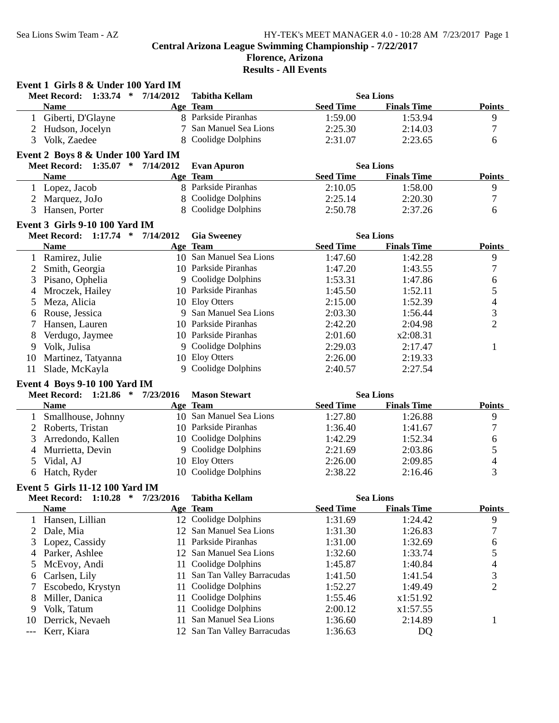#### **Florence, Arizona Results - All Events**

|    | Event 1 Girls 8 & Under 100 Yard IM      |           |                           |                  |                    |                |
|----|------------------------------------------|-----------|---------------------------|------------------|--------------------|----------------|
|    | $1:33.74$ *<br><b>Meet Record:</b>       | 7/14/2012 | <b>Tabitha Kellam</b>     |                  | <b>Sea Lions</b>   |                |
|    | <b>Name</b>                              |           | Age Team                  | <b>Seed Time</b> | <b>Finals Time</b> | <b>Points</b>  |
|    | 1 Giberti, D'Glayne                      |           | 8 Parkside Piranhas       | 1:59.00          | 1:53.94            | 9              |
| 2  | Hudson, Jocelyn                          | 7         | San Manuel Sea Lions      | 2:25.30          | 2:14.03            | 7              |
| 3  | Volk, Zaedee                             | 8         | Coolidge Dolphins         | 2:31.07          | 2:23.65            | 6              |
|    | Event 2 Boys 8 & Under 100 Yard IM       |           |                           |                  |                    |                |
|    | Meet Record: 1:35.07 * 7/14/2012         |           | <b>Evan Apuron</b>        |                  | <b>Sea Lions</b>   |                |
|    | <b>Name</b>                              |           | Age Team                  | <b>Seed Time</b> | <b>Finals Time</b> | <b>Points</b>  |
|    | 1 Lopez, Jacob                           |           | 8 Parkside Piranhas       | 2:10.05          | 1:58.00            | 9              |
| 2  | Marquez, JoJo                            |           | 8 Coolidge Dolphins       | 2:25.14          | 2:20.30            | 7              |
| 3  | Hansen, Porter                           |           | 8 Coolidge Dolphins       | 2:50.78          | 2:37.26            | 6              |
|    | Event 3 Girls 9-10 100 Yard IM           |           |                           |                  |                    |                |
|    | Meet Record: 1:17.74 *                   | 7/14/2012 | <b>Gia Sweeney</b>        |                  | <b>Sea Lions</b>   |                |
|    | <b>Name</b>                              |           | Age Team                  | <b>Seed Time</b> | <b>Finals Time</b> | <b>Points</b>  |
|    | 1 Ramirez, Julie                         |           | 10 San Manuel Sea Lions   | 1:47.60          | 1:42.28            | 9              |
| 2  | Smith, Georgia                           |           | 10 Parkside Piranhas      | 1:47.20          | 1:43.55            | $\overline{7}$ |
| 3  | Pisano, Ophelia                          |           | 9 Coolidge Dolphins       | 1:53.31          | 1:47.86            | 6              |
| 4  | Mroczek, Hailey                          |           | 10 Parkside Piranhas      | 1:45.50          | 1:52.11            | 5              |
| 5  | Meza, Alicia                             |           | 10 Eloy Otters            | 2:15.00          | 1:52.39            | 4              |
| 6  | Rouse, Jessica                           |           | 9 San Manuel Sea Lions    | 2:03.30          | 1:56.44            | 3              |
| 7  | Hansen, Lauren                           |           | 10 Parkside Piranhas      | 2:42.20          | 2:04.98            | $\overline{2}$ |
| 8  | Verdugo, Jaymee                          |           | 10 Parkside Piranhas      | 2:01.60          | x2:08.31           |                |
| 9  | Volk, Julisa                             |           | 9 Coolidge Dolphins       | 2:29.03          | 2:17.47            | 1              |
| 10 | Martinez, Tatyanna                       |           | 10 Eloy Otters            | 2:26.00          | 2:19.33            |                |
| 11 | Slade, McKayla                           |           | 9 Coolidge Dolphins       | 2:40.57          | 2:27.54            |                |
|    | Event 4 Boys 9-10 100 Yard IM            |           |                           |                  |                    |                |
|    | Meet Record: 1:21.86 *                   | 7/23/2016 | <b>Mason Stewart</b>      |                  | <b>Sea Lions</b>   |                |
|    | <b>Name</b>                              |           | Age Team                  | <b>Seed Time</b> | <b>Finals Time</b> | <b>Points</b>  |
| 1  | Smallhouse, Johnny                       |           | 10 San Manuel Sea Lions   | 1:27.80          | 1:26.88            | 9              |
| 2  | Roberts, Tristan                         |           | 10 Parkside Piranhas      | 1:36.40          | 1:41.67            | 7              |
| 3  | Arredondo, Kallen                        |           | 10 Coolidge Dolphins      | 1:42.29          | 1:52.34            | 6              |
| 4  | Murrietta, Devin                         |           | 9 Coolidge Dolphins       | 2:21.69          | 2:03.86            | 5              |
| 5  | Vidal, AJ                                |           | 10 Eloy Otters            | 2:26.00          | 2:09.85            | 4              |
| 6  | Hatch, Ryder                             |           | 10 Coolidge Dolphins      | 2:38.22          | 2:16.46            | 3              |
|    | <b>Event 5 Girls 11-12 100 Yard IM</b>   |           |                           |                  |                    |                |
|    | <b>Meet Record:</b><br>1:10.28<br>$\ast$ | 7/23/2016 | <b>Tabitha Kellam</b>     |                  | <b>Sea Lions</b>   |                |
|    | <b>Name</b>                              |           | Age Team                  | <b>Seed Time</b> | <b>Finals Time</b> | <b>Points</b>  |
| 1  | Hansen, Lillian                          |           | 12 Coolidge Dolphins      | 1:31.69          | 1:24.42            | 9              |
| 2  | Dale, Mia                                | 12        | San Manuel Sea Lions      | 1:31.30          | 1:26.83            | 7              |
| 3  | Lopez, Cassidy                           | 11        | Parkside Piranhas         | 1:31.00          | 1:32.69            | 6              |
| 4  | Parker, Ashlee                           | 12        | San Manuel Sea Lions      | 1:32.60          | 1:33.74            | 5              |
| 5  | McEvoy, Andi                             | 11        | Coolidge Dolphins         | 1:45.87          | 1:40.84            | 4              |
| 6  | Carlsen, Lily                            | 11        | San Tan Valley Barracudas | 1:41.50          | 1:41.54            | 3              |

7 Escobedo, Krystyn 11 Coolidge Dolphins 1:52.27 1:49.49 2<br>
8 Miller, Danica 11 Coolidge Dolphins 1:55.46 x1:51.92

10 Derrick, Nevaeh 11 San Manuel Sea Lions 1:36.60 2:14.89 1

11 Coolidge Dolphins  $2:00.12$   $x1:57.55$ 

8 Miller, Danica 11 Coolidge Dolphins 1:55.46 x1:51.92<br>
9 Volk, Tatum 11 Coolidge Dolphins 2:00.12 x1:57.55

--- Kerr, Kiara 12 San Tan Valley Barracudas 1:36.63 DQ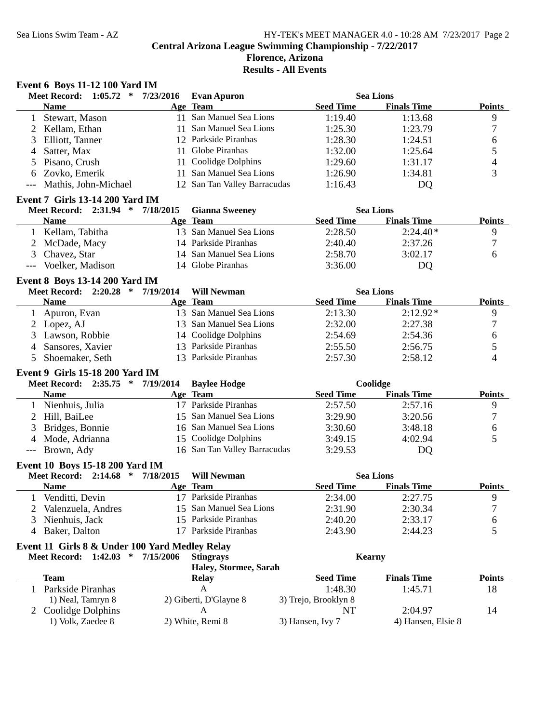# Sea Lions Swim Team - AZ HY-TEK's MEET MANAGER 4.0 - 10:28 AM 7/23/2017 Page 2 **Central Arizona League Swimming Championship - 7/22/2017**

#### **Florence, Arizona Results - All Events**

#### **Event 6 Boys 11-12 100 Yard IM**

|   | 1:05.72<br><b>Meet Record:</b><br>∗    | 7/23/2016 | <b>Evan Apuron</b>           |                  | <b>Sea Lions</b>   |               |
|---|----------------------------------------|-----------|------------------------------|------------------|--------------------|---------------|
|   | <b>Name</b>                            |           | Age Team                     | <b>Seed Time</b> | <b>Finals Time</b> | <b>Points</b> |
|   | Stewart, Mason                         | 11.       | San Manuel Sea Lions         | 1:19.40          | 1:13.68            | 9             |
|   | 2 Kellam, Ethan                        |           | San Manuel Sea Lions         | 1:25.30          | 1:23.79            |               |
|   | 3 Elliott, Tanner                      |           | 12 Parkside Piranhas         | 1:28.30          | 1:24.51            | 6             |
| 4 | Satter, Max                            | 11        | Globe Piranhas               | 1:32.00          | 1:25.64            |               |
|   | 5 Pisano, Crush                        |           | 11 Coolidge Dolphins         | 1:29.60          | 1:31.17            | 4             |
|   | 6 Zovko, Emerik                        | 11.       | San Manuel Sea Lions         | 1:26.90          | 1:34.81            | 3             |
|   | --- Mathis, John-Michael               |           | 12 San Tan Valley Barracudas | 1:16.43          | DQ                 |               |
|   | <b>Event 7 Girls 13-14 200 Yard IM</b> |           |                              |                  |                    |               |
|   | $\ast$<br><b>Meet Record: 2:31.94</b>  | 7/18/2015 | <b>Gianna Sweeney</b>        |                  | <b>Sea Lions</b>   |               |
|   | <b>Name</b>                            |           | Age Team                     | <b>Seed Time</b> | <b>Finals Time</b> | <b>Points</b> |
|   | 1 Kellam, Tabitha                      | 13.       | San Manuel Sea Lions         | 2:28.50          | $2:24.40*$         | 9             |

| $\mathbf{r}$ . The statistic state is the state of $\mathbf{r}$ |                         | ------  | ------  |  |
|-----------------------------------------------------------------|-------------------------|---------|---------|--|
| 2 McDade, Macy                                                  | 14 Parkside Piranhas    | 2:40.40 | 2:37.26 |  |
| 3 Chavez, Star                                                  | 14 San Manuel Sea Lions | 2:58.70 | 3:02.17 |  |
| --- Voelker, Madison                                            | 14 Globe Piranhas       | 3:36.00 | DO      |  |
|                                                                 |                         |         |         |  |

#### **Event 8 Boys 13-14 200 Yard IM**

| Meet Record: 2:20.28 * | 7/19/2014 | Will Newman             |                  | <b>Sea Lions</b>   |               |
|------------------------|-----------|-------------------------|------------------|--------------------|---------------|
| <b>Name</b>            |           | Age Team                | <b>Seed Time</b> | <b>Finals Time</b> | <b>Points</b> |
| 1 Apuron, Evan         |           | 13 San Manuel Sea Lions | 2:13.30          | $2:12.92*$         |               |
| 2 Lopez, AJ            |           | 13 San Manuel Sea Lions | 2:32.00          | 2:27.38            |               |
| 3 Lawson, Robbie       |           | 14 Coolidge Dolphins    | 2:54.69          | 2:54.36            |               |
| 4 Sansores, Xavier     |           | 13 Parkside Piranhas    | 2:55.50          | 2:56.75            |               |
| 5 Shoemaker, Seth      |           | 13 Parkside Piranhas    | 2:57.30          | 2:58.12            |               |

### **Event 9 Girls 15-18 200 Yard IM**

| Meet Record: 2:35.75 * | 7/19/2014 | <b>Baylee Hodge</b>          |                  | Coolidge           |               |
|------------------------|-----------|------------------------------|------------------|--------------------|---------------|
| <b>Name</b>            |           | Age Team                     | <b>Seed Time</b> | <b>Finals Time</b> | <b>Points</b> |
| Nienhuis, Julia        |           | 17 Parkside Piranhas         | 2:57.50          | 2:57.16            |               |
| 2 Hill, BaiLee         |           | 15 San Manuel Sea Lions      | 3:29.90          | 3:20.56            |               |
| 3 Bridges, Bonnie      |           | 16 San Manuel Sea Lions      | 3:30.60          | 3:48.18            |               |
| 4 Mode, Adrianna       |           | 15 Coolidge Dolphins         | 3:49.15          | 4:02.94            |               |
| --- Brown, Ady         |           | 16 San Tan Valley Barracudas | 3:29.53          | DQ                 |               |

#### **Event 10 Boys 15-18 200 Yard IM**

| <b>Meet Record: 2:14.68</b><br>∗ | 7/18/2015 | <b>Will Newman</b>      |                  | <b>Sea Lions</b>   |               |
|----------------------------------|-----------|-------------------------|------------------|--------------------|---------------|
| <b>Name</b>                      |           | <b>Age Team</b>         | <b>Seed Time</b> | <b>Finals Time</b> | <b>Points</b> |
| Venditti, Devin                  |           | 17 Parkside Piranhas    | 2:34.00          | 2:27.75            |               |
| Valenzuela, Andres               |           | 15 San Manuel Sea Lions | 2:31.90          | 2:30.34            | −             |
| 3 Nienhuis, Jack                 |           | 15 Parkside Piranhas    | 2:40.20          | 2:33.17            |               |
| Baker, Dalton                    |           | Parkside Piranhas       | 2:43.90          | 2:44.23            |               |

#### **Event 11 Girls 8 & Under 100 Yard Medley Relay**

| <b>Meet Record: 1:42.03</b><br>∗ | 7/15/2006<br><b>Stingrays</b> | Kearny               |                    |               |
|----------------------------------|-------------------------------|----------------------|--------------------|---------------|
|                                  | Haley, Stormee, Sarah         |                      |                    |               |
| Team                             | Relay                         | <b>Seed Time</b>     | <b>Finals Time</b> | <b>Points</b> |
| Parkside Piranhas                | А                             | 1:48.30              | 1:45.71            | 18            |
| 1) Neal, Tamryn 8                | 2) Giberti, D'Glayne 8        | 3) Trejo, Brooklyn 8 |                    |               |
| 2 Coolidge Dolphins              |                               | NT                   | 2:04.97            | 14            |
| 1) Volk, Zaedee 8                | 2) White, Remi 8              | 3) Hansen, Ivy 7     | 4) Hansen, Elsie 8 |               |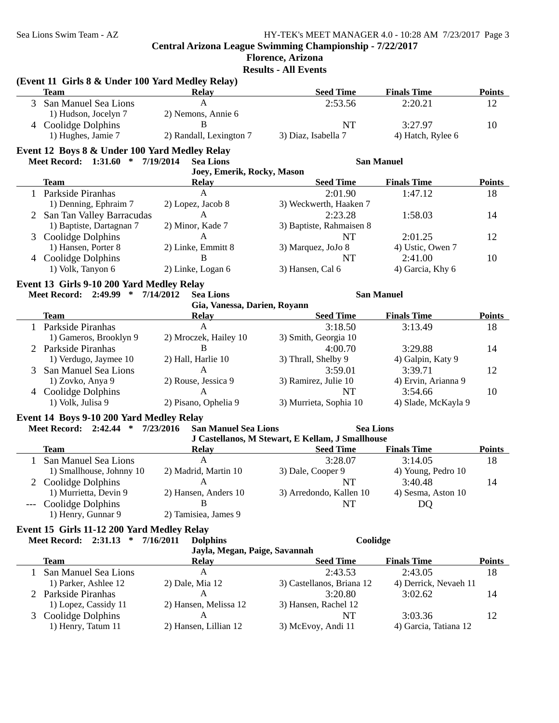# **Florence, Arizona**

**Results - All Events**

#### **(Event 11 Girls 8 & Under 100 Yard Medley Relay)**

| Team                   | Relav                   | <b>Seed Time</b>    | <b>Finals Time</b> | <b>Points</b> |
|------------------------|-------------------------|---------------------|--------------------|---------------|
| 3 San Manuel Sea Lions |                         | 2:53.56             | 2:20.21            |               |
| 1) Hudson, Jocelyn 7   | 2) Nemons, Annie 6      |                     |                    |               |
| Coolidge Dolphins      |                         | NT                  | 3:27.97            | 10            |
| 1) Hughes, Jamie 7     | 2) Randall, Lexington 7 | 3) Diaz, Isabella 7 | 4) Hatch, Rylee 6  |               |

#### **Event 12 Boys 8 & Under 100 Yard Medley Relay**

#### **Meet Record: 1:31.60 \* 7/19/2014 San Manuel Sea Lions**

#### **Joey, Emerik, Rocky, Mason**

| $000, 1000, 1000, 1000, 1000, 1000, 1000, 1000, 1000, 1000, 1000, 1000, 1000, 1000, 1000, 1000, 1000, 1000, 1000, 1000, 1000, 1000, 1000, 1000, 1000, 1000, 1000, 1000, 1000, 1000, 1000, 1000, 1000, 1000, 1000, 1000, 1000,$ |                             |                    |                          |                    |               |
|--------------------------------------------------------------------------------------------------------------------------------------------------------------------------------------------------------------------------------|-----------------------------|--------------------|--------------------------|--------------------|---------------|
|                                                                                                                                                                                                                                | Team                        | <b>Relay</b>       | <b>Seed Time</b>         | <b>Finals Time</b> | <b>Points</b> |
|                                                                                                                                                                                                                                | Parkside Piranhas           | А                  | 2:01.90                  | 1:47.12            | 18            |
|                                                                                                                                                                                                                                | 1) Denning, Ephraim 7       | 2) Lopez, Jacob 8  | 3) Weckwerth, Haaken 7   |                    |               |
|                                                                                                                                                                                                                                | 2 San Tan Valley Barracudas | А                  | 2:23.28                  | 1:58.03            | 14            |
|                                                                                                                                                                                                                                | 1) Baptiste, Dartagnan 7    | 2) Minor, Kade 7   | 3) Baptiste, Rahmaisen 8 |                    |               |
|                                                                                                                                                                                                                                | 3 Coolidge Dolphins         | А                  | NT                       | 2:01.25            | 12            |
|                                                                                                                                                                                                                                | 1) Hansen, Porter 8         | 2) Linke, Emmitt 8 | 3) Marquez, JoJo 8       | 4) Ustic, Owen 7   |               |
|                                                                                                                                                                                                                                | 4 Coolidge Dolphins         | В                  | NT                       | 2:41.00            | 10            |
|                                                                                                                                                                                                                                | 1) Volk, Tanyon 6           | 2) Linke, Logan 6  | 3) Hansen, Cal 6         | 4) Garcia, Khy 6   |               |
|                                                                                                                                                                                                                                |                             |                    |                          |                    |               |

#### **Event 13 Girls 9-10 200 Yard Medley Relay**

#### **Meet Record: 2:49.99 \* 7/14/2012 San Manuel Sea Lions**

| Gia, Vanessa, Darien, Royann |                       |                        |                     |               |  |  |
|------------------------------|-----------------------|------------------------|---------------------|---------------|--|--|
| Team                         | <b>Relay</b>          | <b>Seed Time</b>       | <b>Finals Time</b>  | <b>Points</b> |  |  |
| Parkside Piranhas            | А                     | 3:18.50                | 3:13.49             | 18            |  |  |
| 1) Gameros, Brooklyn 9       | 2) Mroczek, Hailey 10 | 3) Smith, Georgia 10   |                     |               |  |  |
| 2 Parkside Piranhas          | В                     | 4:00.70                | 3:29.88             | 14            |  |  |
| 1) Verdugo, Jaymee 10        | 2) Hall, Harlie 10    | 3) Thrall, Shelby 9    | 4) Galpin, Katy 9   |               |  |  |
| 3 San Manuel Sea Lions       | А                     | 3:59.01                | 3:39.71             | 12            |  |  |
| 1) Zovko, Anya 9             | 2) Rouse, Jessica 9   | 3) Ramirez, Julie 10   | 4) Ervin, Arianna 9 |               |  |  |
| 4 Coolidge Dolphins          | A                     | NT                     | 3:54.66             | 10            |  |  |
| 1) Volk, Julisa 9            | 2) Pisano, Ophelia 9  | 3) Murrieta, Sophia 10 | 4) Slade, McKayla 9 |               |  |  |

#### **Event 14 Boys 9-10 200 Yard Medley Relay**

**Meet Record: 2:42.44 \* 7/23/2016 Sea Lions San Manuel Sea Lions J Castellanos, M Stewart, E Kellam, J Smallhouse**

|                          | J Castellanos, M Stewart, E Rellam, J Smallhouse |                         |                    |               |
|--------------------------|--------------------------------------------------|-------------------------|--------------------|---------------|
| Team                     | <b>Relay</b>                                     | <b>Seed Time</b>        | <b>Finals Time</b> | <b>Points</b> |
| San Manuel Sea Lions     | А                                                | 3:28.07                 | 3:14.05            | 18            |
| 1) Smallhouse, Johnny 10 | 2) Madrid, Martin 10                             | 3) Dale, Cooper 9       | 4) Young, Pedro 10 |               |
| 2 Coolidge Dolphins      |                                                  | NT                      | 3:40.48            | 14            |
| 1) Murrietta, Devin 9    | 2) Hansen, Anders 10                             | 3) Arredondo, Kallen 10 | 4) Sesma, Aston 10 |               |
| --- Coolidge Dolphins    |                                                  | NT                      | DO                 |               |
| 1) Henry, Gunnar 9       | 2) Tamisiea, James 9                             |                         |                    |               |
|                          |                                                  |                         |                    |               |

#### **Event 15 Girls 11-12 200 Yard Medley Relay**

Meet Record: 2:31.13 \* 7/16/2011 Dolphins Coolidge **Dolphins** Coolidge

|  | Jayla, Megan, Paige, Savannah |
|--|-------------------------------|

| Jayla, Blcgan, I alge, Davannan |                       |                           |                       |                       |  |  |  |
|---------------------------------|-----------------------|---------------------------|-----------------------|-----------------------|--|--|--|
| Team                            | <b>Relay</b>          | <b>Seed Time</b>          | <b>Finals Time</b>    | <b>Points</b>         |  |  |  |
| San Manuel Sea Lions            | А                     | 2:43.53                   | 2:43.05               | 18                    |  |  |  |
| 1) Parker, Ashlee 12            | $2)$ Dale, Mia 12     | 3) Castellanos, Briana 12 |                       |                       |  |  |  |
| 2 Parkside Piranhas             | Α                     | 3:20.80                   | 3:02.62               | 14                    |  |  |  |
| 1) Lopez, Cassidy 11            | 2) Hansen, Melissa 12 | 3) Hansen, Rachel 12      |                       |                       |  |  |  |
| 3 Coolidge Dolphins             | A                     | NT.                       | 3:03.36               | 12                    |  |  |  |
| 1) Henry, Tatum 11              | 2) Hansen, Lillian 12 | 3) McEvoy, Andi 11        | 4) Garcia, Tatiana 12 |                       |  |  |  |
|                                 |                       |                           |                       | 4) Derrick, Nevaeh 11 |  |  |  |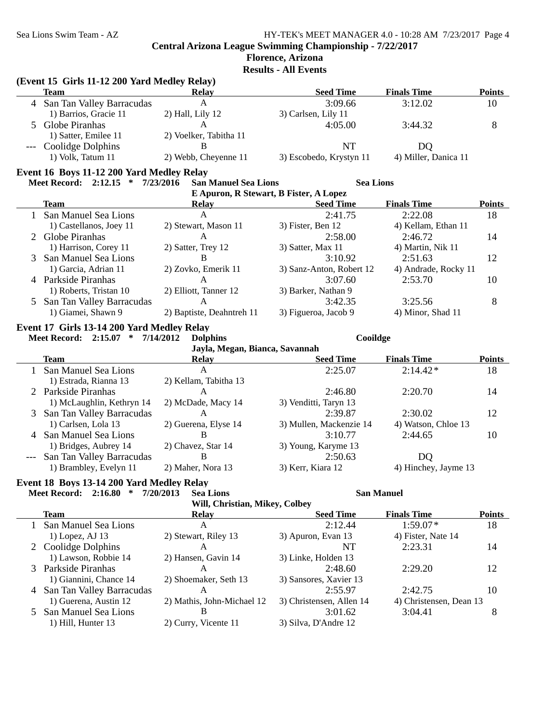# **Florence, Arizona**

**Results - All Events**

#### **(Event 15 Girls 11-12 200 Yard Medley Relay)**

| Team                        | <b>Relay</b>           | <b>Seed Time</b>        | <b>Finals Time</b>   | Points |
|-----------------------------|------------------------|-------------------------|----------------------|--------|
| 4 San Tan Valley Barracudas |                        | 3:09.66                 | 3:12.02              | 10     |
| 1) Barrios, Gracie 11       | 2) Hall, Lily 12       | 3) Carlsen, Lily 11     |                      |        |
| 5 Globe Piranhas            |                        | 4:05.00                 | 3:44.32              |        |
| 1) Satter, Emilee 11        | 2) Voelker, Tabitha 11 |                         |                      |        |
| --- Coolidge Dolphins       |                        | NT                      | DO                   |        |
| 1) Volk, Tatum 11           | 2) Webb, Cheyenne 11   | 3) Escobedo, Krystyn 11 | 4) Miller, Danica 11 |        |

#### **Event 16 Boys 11-12 200 Yard Medley Relay**

# **Meet Record: 2:12.15 \* 7/23/2016 Sea Lions San Manuel Sea Lions**

| E Apuron, R Stewart, B Fister, A Lopez |                           |                          |                      |               |  |  |  |
|----------------------------------------|---------------------------|--------------------------|----------------------|---------------|--|--|--|
| Team                                   | <b>Relay</b>              | <b>Seed Time</b>         | <b>Finals Time</b>   | <b>Points</b> |  |  |  |
| 1 San Manuel Sea Lions                 | A                         | 2:41.75                  | 2:22.08              | 18            |  |  |  |
| 1) Castellanos, Joey 11                | 2) Stewart, Mason 11      | 3) Fister, Ben 12        | 4) Kellam, Ethan 11  |               |  |  |  |
| 2 Globe Piranhas                       | A                         | 2:58.00                  | 2:46.72              | 14            |  |  |  |
| 1) Harrison, Corey 11                  | 2) Satter, Trey 12        | 3) Satter, Max 11        | 4) Martin, Nik 11    |               |  |  |  |
| 3 San Manuel Sea Lions                 | В                         | 3:10.92                  | 2:51.63              | 12            |  |  |  |
| 1) Garcia, Adrian 11                   | 2) Zovko, Emerik 11       | 3) Sanz-Anton, Robert 12 | 4) Andrade, Rocky 11 |               |  |  |  |
| 4 Parkside Piranhas                    | A                         | 3:07.60                  | 2:53.70              | 10            |  |  |  |
| 1) Roberts, Tristan 10                 | 2) Elliott, Tanner 12     | 3) Barker, Nathan 9      |                      |               |  |  |  |
| 5 San Tan Valley Barracudas            | A                         | 3:42.35                  | 3:25.56              | 8             |  |  |  |
| 1) Giamei, Shawn 9                     | 2) Baptiste, Deahntreh 11 | 3) Figueroa, Jacob 9     | 4) Minor, Shad 11    |               |  |  |  |

### **Event 17 Girls 13-14 200 Yard Medley Relay**

#### **Meet Record: 2:15.07 \* 7/14/2012 Cooildge Dolphins Jayla, Megan, Bianca, Savannah Team Relay Relay Seed Time Finals Time Points** 1 San Manuel Sea Lions A 2:25.07 2:14.42\* 18 1) Estrada, Rianna 13 2) Kellam, Tabitha 13 2 Parkside Piranhas A<br>
2:46.80 2:20.70 14<br>
2) McDade, Macy 14 3) Venditti, Taryn 13 1) McLaughlin, Kethryn 14 3 San Tan Valley Barracudas A<br>
2:39.87 2:30.02 12<br>
2:39.87 2:30.02 12<br>
2:39.87 2:30.02 12 2) Guerena, Elyse 14 3) Mullen, Mackenzie 14 4) Watson, Chloe 13 4 San Manuel Sea Lions B<br>
10 1) Bridges, Aubrey 14 2) Chavez, Star 14 3) Young, Karyme 13 1) Bridges, Aubrey 14 2) Chavez, Star 14 3) Young, Karyme 13 --- San Tan Valley Barracudas B<br>
1) Brambley, Evelyn 11 2) Maher, Nora 13 3) Kerr, Kiara 12 4) Hinchey, Jayme 13 1) Brambley, Evelyn 11 2) Maher, Nora 13 3) Kerr, Kiara 12

### **Event 18 Boys 13-14 200 Yard Medley Relay**

#### **Meet Record: 2:16.80 \* 7/20/2013 San Manuel Sea Lions**

| Will, Christian, Mikey, Colbey |                            |                          |                         |               |  |  |  |
|--------------------------------|----------------------------|--------------------------|-------------------------|---------------|--|--|--|
| <b>Team</b>                    | <b>Relay</b>               | <b>Seed Time</b>         | <b>Finals Time</b>      | <b>Points</b> |  |  |  |
| 1 San Manuel Sea Lions         | A                          | 2:12.44                  | $1:59.07*$              | 18            |  |  |  |
| $1)$ Lopez, AJ 13              | 2) Stewart, Riley 13       | 3) Apuron, Evan 13       | 4) Fister, Nate 14      |               |  |  |  |
| 2 Coolidge Dolphins            | A                          | NT                       | 2:23.31                 | 14            |  |  |  |
| 1) Lawson, Robbie 14           | 2) Hansen, Gavin 14        | 3) Linke, Holden 13      |                         |               |  |  |  |
| 3 Parkside Piranhas            | A                          | 2:48.60                  | 2:29.20                 | 12            |  |  |  |
| 1) Giannini, Chance 14         | 2) Shoemaker, Seth 13      | 3) Sansores, Xavier 13   |                         |               |  |  |  |
| 4 San Tan Valley Barracudas    | A                          | 2:55.97                  | 2:42.75                 | 10            |  |  |  |
| 1) Guerena, Austin 12          | 2) Mathis, John-Michael 12 | 3) Christensen, Allen 14 | 4) Christensen, Dean 13 |               |  |  |  |
| 5 San Manuel Sea Lions         | B                          | 3:01.62                  | 3:04.41                 |               |  |  |  |
| 1) Hill, Hunter 13             | 2) Curry, Vicente 11       | 3) Silva, D'Andre 12     |                         |               |  |  |  |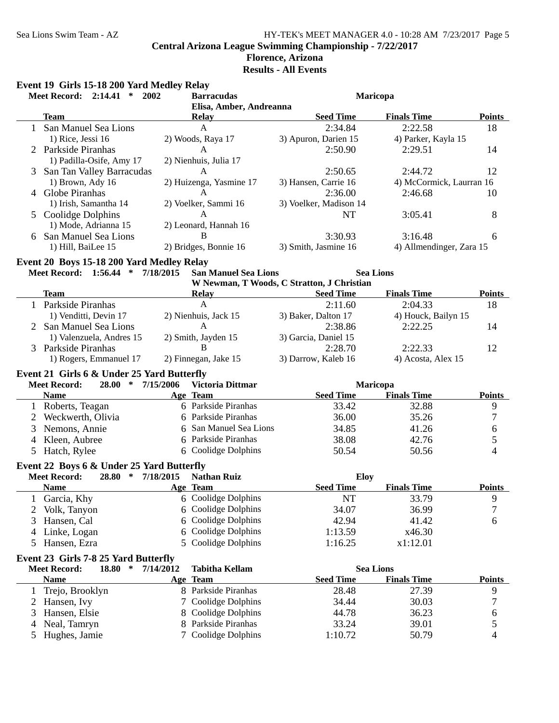# **Florence, Arizona**

**Results - All Events**

|   | Event 19 Girls 15-18 200 Yard Medley Relay<br><b>Meet Record: 2:14.41</b><br>$*$ 2002 |           | <b>Barracudas</b>                       | Maricopa                                   |                          |                          |  |  |
|---|---------------------------------------------------------------------------------------|-----------|-----------------------------------------|--------------------------------------------|--------------------------|--------------------------|--|--|
|   | <b>Team</b>                                                                           |           | Elisa, Amber, Andreanna<br><b>Relay</b> | <b>Seed Time</b>                           | <b>Finals Time</b>       | <b>Points</b>            |  |  |
|   | 1 San Manuel Sea Lions                                                                |           | $\mathbf{A}$                            | 2:34.84                                    | 2:22.58                  | 18                       |  |  |
|   | 1) Rice, Jessi 16                                                                     |           | 2) Woods, Raya 17                       | 3) Apuron, Darien 15                       | 4) Parker, Kayla 15      |                          |  |  |
|   | 2 Parkside Piranhas                                                                   |           | A                                       | 2:50.90                                    | 2:29.51                  | 14                       |  |  |
|   | 1) Padilla-Osife, Amy 17                                                              |           | 2) Nienhuis, Julia 17                   |                                            |                          |                          |  |  |
|   |                                                                                       |           | A                                       | 2:50.65                                    | 2:44.72                  | 12                       |  |  |
|   | 3 San Tan Valley Barracudas                                                           |           |                                         | 3) Hansen, Carrie 16                       |                          |                          |  |  |
|   | 1) Brown, Ady 16<br>4 Globe Piranhas                                                  |           | 2) Huizenga, Yasmine 17<br>A            |                                            | 4) McCormick, Laurran 16 |                          |  |  |
|   |                                                                                       |           |                                         | 2:36.00                                    | 2:46.68                  | 10                       |  |  |
|   | 1) Irish, Samantha 14                                                                 |           | 2) Voelker, Sammi 16                    | 3) Voelker, Madison 14                     |                          |                          |  |  |
|   | 5 Coolidge Dolphins                                                                   |           | A                                       | NT                                         | 3:05.41                  | 8                        |  |  |
|   | 1) Mode, Adrianna 15                                                                  |           | 2) Leonard, Hannah 16                   |                                            |                          |                          |  |  |
|   | 6 San Manuel Sea Lions                                                                |           | B                                       | 3:30.93                                    | 3:16.48                  | 6                        |  |  |
|   | 1) Hill, BaiLee 15                                                                    |           | 2) Bridges, Bonnie 16                   | 3) Smith, Jasmine 16                       | 4) Allmendinger, Zara 15 |                          |  |  |
|   | Event 20 Boys 15-18 200 Yard Medley Relay                                             |           |                                         |                                            |                          |                          |  |  |
|   | Meet Record: 1:56.44 * 7/18/2015                                                      |           | <b>San Manuel Sea Lions</b>             |                                            | <b>Sea Lions</b>         |                          |  |  |
|   |                                                                                       |           |                                         | W Newman, T Woods, C Stratton, J Christian |                          |                          |  |  |
|   | <b>Team</b>                                                                           |           | <b>Relay</b>                            | <b>Seed Time</b>                           | <b>Finals Time</b>       | <b>Points</b>            |  |  |
|   | 1 Parkside Piranhas                                                                   |           | $\mathbf{A}$                            | 2:11.60                                    | 2:04.33                  | 18                       |  |  |
|   | 1) Venditti, Devin 17                                                                 |           | 2) Nienhuis, Jack 15                    | 3) Baker, Dalton 17                        | 4) Houck, Bailyn 15      |                          |  |  |
|   | 2 San Manuel Sea Lions                                                                |           | A                                       | 2:38.86                                    | 2:22.25                  | 14                       |  |  |
|   | 1) Valenzuela, Andres 15                                                              |           | 2) Smith, Jayden 15                     | 3) Garcia, Daniel 15                       |                          |                          |  |  |
|   | 3 Parkside Piranhas                                                                   |           | B                                       | 2:28.70                                    | 2:22.33                  | 12                       |  |  |
|   | 1) Rogers, Emmanuel 17                                                                |           | 2) Finnegan, Jake 15                    | 3) Darrow, Kaleb 16                        | 4) Acosta, Alex 15       |                          |  |  |
|   | Event 21 Girls 6 & Under 25 Yard Butterfly                                            |           |                                         |                                            |                          |                          |  |  |
|   | 28.00 * 7/15/2006<br><b>Meet Record:</b>                                              |           | Victoria Dittmar                        |                                            | Maricopa                 |                          |  |  |
|   | <b>Name</b>                                                                           |           | Age Team                                | <b>Seed Time</b>                           | <b>Finals Time</b>       | <b>Points</b>            |  |  |
|   | 1 Roberts, Teagan                                                                     |           | 6 Parkside Piranhas                     | 33.42                                      | 32.88                    | 9                        |  |  |
| 2 | Weckwerth, Olivia                                                                     |           | 6 Parkside Piranhas                     | 36.00                                      | 35.26                    | 7                        |  |  |
| 3 | Nemons, Annie                                                                         |           | 6 San Manuel Sea Lions                  | 34.85                                      | 41.26                    | 6                        |  |  |
| 4 | Kleen, Aubree                                                                         |           | 6 Parkside Piranhas                     | 38.08                                      | 42.76                    | 5                        |  |  |
| 5 | Hatch, Rylee                                                                          |           | 6 Coolidge Dolphins                     | 50.54                                      | 50.56                    | $\overline{\mathcal{L}}$ |  |  |
|   |                                                                                       |           |                                         |                                            |                          |                          |  |  |
|   | Event 22 Boys 6 & Under 25 Yard Butterfly                                             |           |                                         |                                            |                          |                          |  |  |
|   | <b>Meet Record:</b><br>∗<br>28.80                                                     | 7/18/2015 | <b>Nathan Ruiz</b>                      | Eloy                                       |                          |                          |  |  |
|   | <b>Name</b>                                                                           |           | Age Team                                | <b>Seed Time</b>                           | <b>Finals Time</b>       | <b>Points</b>            |  |  |
|   | Garcia, Khy                                                                           |           | 6 Coolidge Dolphins                     | <b>NT</b>                                  | 33.79                    | 9                        |  |  |
| 2 | Volk, Tanyon                                                                          | 6         | Coolidge Dolphins                       | 34.07                                      | 36.99                    | 7                        |  |  |
| 3 | Hansen, Cal                                                                           |           | Coolidge Dolphins                       | 42.94                                      | 41.42                    | 6                        |  |  |
|   | Linke, Logan                                                                          | 6         | Coolidge Dolphins                       | 1:13.59                                    | x46.30                   |                          |  |  |
| 5 | Hansen, Ezra                                                                          | 5.        | Coolidge Dolphins                       | 1:16.25                                    | x1:12.01                 |                          |  |  |
|   | Event 23 Girls 7-8 25 Yard Butterfly                                                  |           |                                         |                                            |                          |                          |  |  |
|   | <b>Meet Record:</b><br>18.80<br>$\ast$                                                | 7/14/2012 | <b>Tabitha Kellam</b>                   |                                            | <b>Sea Lions</b>         |                          |  |  |
|   | <b>Name</b>                                                                           |           | Age Team                                | <b>Seed Time</b>                           | <b>Finals Time</b>       | <b>Points</b>            |  |  |
| 1 | Trejo, Brooklyn                                                                       |           | 8 Parkside Piranhas                     | 28.48                                      | 27.39                    | 9                        |  |  |
| 2 | Hansen, Ivy                                                                           |           | Coolidge Dolphins                       | 34.44                                      | 30.03                    | $\boldsymbol{7}$         |  |  |
| 3 | Hansen, Elsie                                                                         | 8         | <b>Coolidge Dolphins</b>                | 44.78                                      | 36.23                    | 6                        |  |  |
| 4 | Neal, Tamryn                                                                          | 8         | Parkside Piranhas                       | 33.24                                      | 39.01                    | 5                        |  |  |
|   |                                                                                       | 7         | Coolidge Dolphins                       |                                            |                          | $\overline{\mathcal{L}}$ |  |  |
| 5 | Hughes, Jamie                                                                         |           |                                         | 1:10.72                                    | 50.79                    |                          |  |  |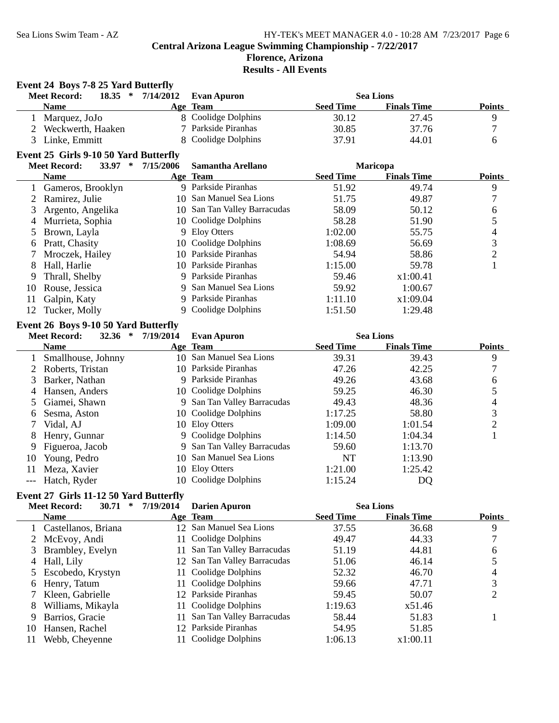# **Florence, Arizona**

**Results - All Events**

# **Event 24 Boys 7-8 25 Yard Butterfly**

| 18.35<br>$\ast$<br><b>Meet Record:</b> | 7/14/2012 | Evan Apuron         |                  | <b>Sea Lions</b>   |               |
|----------------------------------------|-----------|---------------------|------------------|--------------------|---------------|
| <b>Name</b>                            |           | Age Team            | <b>Seed Time</b> | <b>Finals Time</b> | <b>Points</b> |
| Marquez, JoJo                          |           | 8 Coolidge Dolphins | 30.12            | 27.45              |               |
| 2 Weckwerth, Haaken                    |           | 7 Parkside Piranhas | 30.85            | 37.76              |               |
| 3 Linke, Emmitt                        |           | 8 Coolidge Dolphins | 37.91            | 44.01              |               |
|                                        |           |                     |                  |                    |               |

# **Event 25 Girls 9-10 50 Yard Butterfly**

|    | 33.97<br><b>Meet Record:</b><br>∗ | 7/15/2006 | Samantha Arellano            |                  | <b>Maricopa</b>    |               |
|----|-----------------------------------|-----------|------------------------------|------------------|--------------------|---------------|
|    | <b>Name</b>                       |           | Age Team                     | <b>Seed Time</b> | <b>Finals Time</b> | <b>Points</b> |
|    | 1 Gameros, Brooklyn               | 9.        | Parkside Piranhas            | 51.92            | 49.74              | 9             |
|    | 2 Ramirez, Julie                  |           | 10 San Manuel Sea Lions      | 51.75            | 49.87              |               |
|    | Argento, Angelika                 |           | 10 San Tan Valley Barracudas | 58.09            | 50.12              | 6             |
| 4  | Murrieta, Sophia                  |           | 10 Coolidge Dolphins         | 58.28            | 51.90              |               |
|    | 5 Brown, Layla                    |           | 9 Eloy Otters                | 1:02.00          | 55.75              | 4             |
| 6  | Pratt, Chasity                    |           | 10 Coolidge Dolphins         | 1:08.69          | 56.69              | 3             |
|    | Mroczek, Hailey                   |           | 10 Parkside Piranhas         | 54.94            | 58.86              | ↑             |
| 8  | Hall, Harlie                      |           | 10 Parkside Piranhas         | 1:15.00          | 59.78              |               |
| 9  | Thrall, Shelby                    |           | 9 Parkside Piranhas          | 59.46            | x1:00.41           |               |
| 10 | Rouse, Jessica                    |           | 9 San Manuel Sea Lions       | 59.92            | 1:00.67            |               |
| 11 | Galpin, Katy                      |           | 9 Parkside Piranhas          | 1:11.10          | x1:09.04           |               |
| 12 | Tucker, Molly                     |           | Coolidge Dolphins            | 1:51.50          | 1:29.48            |               |

# **Event 26 Boys 9-10 50 Yard Butterfly**

|    | <b>Meet Record:</b><br>32.36<br>$\ast$ | 7/19/2014 | <b>Evan Apuron</b>          |                  | <b>Sea Lions</b>   |               |
|----|----------------------------------------|-----------|-----------------------------|------------------|--------------------|---------------|
|    | <b>Name</b>                            |           | Age Team                    | <b>Seed Time</b> | <b>Finals Time</b> | <b>Points</b> |
|    | Smallhouse, Johnny                     |           | 10 San Manuel Sea Lions     | 39.31            | 39.43              | 9             |
|    | Roberts, Tristan                       |           | 10 Parkside Piranhas        | 47.26            | 42.25              |               |
| 3. | Barker, Nathan                         |           | 9 Parkside Piranhas         | 49.26            | 43.68              | 6             |
| 4  | Hansen, Anders                         |           | 10 Coolidge Dolphins        | 59.25            | 46.30              |               |
|    | 5 Giamei, Shawn                        |           | 9 San Tan Valley Barracudas | 49.43            | 48.36              | 4             |
| 6  | Sesma, Aston                           |           | 10 Coolidge Dolphins        | 1:17.25          | 58.80              | 3             |
|    | Vidal, AJ                              |           | 10 Eloy Otters              | 1:09.00          | 1:01.54            | 2             |
| 8  | Henry, Gunnar                          |           | 9 Coolidge Dolphins         | 1:14.50          | 1:04.34            |               |
| 9  | Figueroa, Jacob                        |           | 9 San Tan Valley Barracudas | 59.60            | 1:13.70            |               |
| 10 | Young, Pedro                           |           | 10 San Manuel Sea Lions     | NT               | 1:13.90            |               |
| 11 | Meza, Xavier                           |           | 10 Eloy Otters              | 1:21.00          | 1:25.42            |               |
|    | Hatch, Ryder                           |           | 10 Coolidge Dolphins        | 1:15.24          | DQ                 |               |

# **Event 27 Girls 11-12 50 Yard Butterfly**

|    | <b>Meet Record:</b><br>30.71 | 7/19/2014<br>∗ | <b>Darien Apuron</b>         |                  | <b>Sea Lions</b>   |               |
|----|------------------------------|----------------|------------------------------|------------------|--------------------|---------------|
|    | <b>Name</b>                  |                | Age Team                     | <b>Seed Time</b> | <b>Finals Time</b> | <b>Points</b> |
|    | 1 Castellanos, Briana        |                | 12 San Manuel Sea Lions      | 37.55            | 36.68              | 9             |
|    | 2 McEvoy, Andi               |                | 11 Coolidge Dolphins         | 49.47            | 44.33              |               |
|    | 3 Brambley, Evelyn           | 11             | San Tan Valley Barracudas    | 51.19            | 44.81              | 6             |
|    | 4 Hall, Lily                 |                | 12 San Tan Valley Barracudas | 51.06            | 46.14              |               |
|    | 5 Escobedo, Krystyn          |                | 11 Coolidge Dolphins         | 52.32            | 46.70              | 4             |
| 6  | Henry, Tatum                 |                | 11 Coolidge Dolphins         | 59.66            | 47.71              | 3             |
|    | Kleen, Gabrielle             |                | 12 Parkside Piranhas         | 59.45            | 50.07              | 2             |
| 8  | Williams, Mikayla            |                | 11 Coolidge Dolphins         | 1:19.63          | x51.46             |               |
| 9  | Barrios, Gracie              |                | San Tan Valley Barracudas    | 58.44            | 51.83              |               |
| 10 | Hansen, Rachel               |                | 12 Parkside Piranhas         | 54.95            | 51.85              |               |
| 11 | Webb, Cheyenne               |                | Coolidge Dolphins            | 1:06.13          | x1:00.11           |               |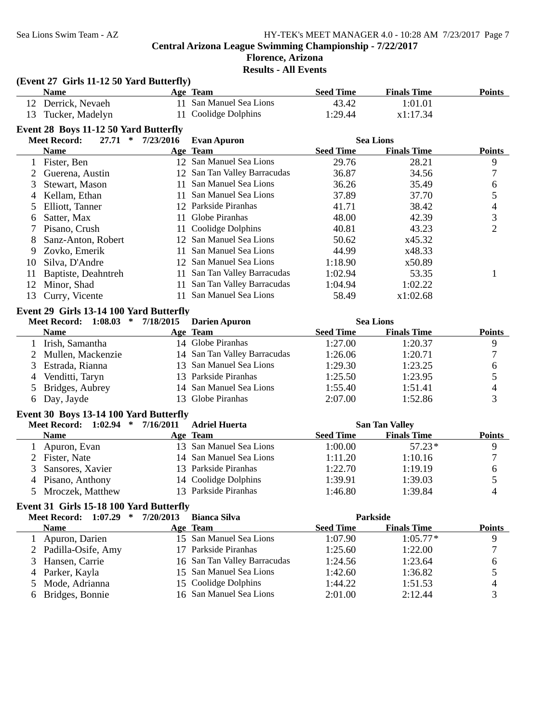# **Florence, Arizona**

**Results - All Events**

|    | (Event 27 Girls 11-12 50 Yard Butterfly) |           |                              |                  |                       |                          |
|----|------------------------------------------|-----------|------------------------------|------------------|-----------------------|--------------------------|
|    | <b>Name</b>                              |           | Age Team                     | <b>Seed Time</b> | <b>Finals Time</b>    | <b>Points</b>            |
|    | 12 Derrick, Nevaeh                       |           | 11 San Manuel Sea Lions      | 43.42            | 1:01.01               |                          |
| 13 | Tucker, Madelyn                          | 11        | Coolidge Dolphins            | 1:29.44          | x1:17.34              |                          |
|    | Event 28 Boys 11-12 50 Yard Butterfly    |           |                              |                  |                       |                          |
|    | <b>Meet Record:</b><br>27.71<br>$\ast$   | 7/23/2016 | <b>Evan Apuron</b>           |                  | <b>Sea Lions</b>      |                          |
|    | <b>Name</b>                              |           | Age Team                     | <b>Seed Time</b> | <b>Finals Time</b>    | <b>Points</b>            |
|    | 1 Fister, Ben                            |           | 12 San Manuel Sea Lions      | 29.76            | 28.21                 | 9                        |
|    | Guerena, Austin                          |           | 12 San Tan Valley Barracudas | 36.87            | 34.56                 | 7                        |
| 3  | Stewart, Mason                           | 11        | San Manuel Sea Lions         | 36.26            | 35.49                 | 6                        |
|    | 4 Kellam, Ethan                          | 11        | San Manuel Sea Lions         | 37.89            | 37.70                 | $\mathfrak s$            |
| 5  | Elliott, Tanner                          |           | 12 Parkside Piranhas         | 41.71            | 38.42                 | 4                        |
| 6  | Satter, Max                              | 11        | Globe Piranhas               | 48.00            | 42.39                 | 3                        |
| 7  | Pisano, Crush                            | 11        | Coolidge Dolphins            | 40.81            | 43.23                 | $\overline{2}$           |
| 8  | Sanz-Anton, Robert                       |           | 12 San Manuel Sea Lions      | 50.62            | x45.32                |                          |
| 9  | Zovko, Emerik                            | 11        | San Manuel Sea Lions         | 44.99            | x48.33                |                          |
| 10 | Silva, D'Andre                           |           | 12 San Manuel Sea Lions      | 1:18.90          | x50.89                |                          |
| 11 | Baptiste, Deahntreh                      | 11        | San Tan Valley Barracudas    | 1:02.94          | 53.35                 | 1                        |
| 12 | Minor, Shad                              | 11        | San Tan Valley Barracudas    | 1:04.94          | 1:02.22               |                          |
| 13 | Curry, Vicente                           | 11        | San Manuel Sea Lions         | 58.49            | x1:02.68              |                          |
|    | Event 29 Girls 13-14 100 Yard Butterfly  |           |                              |                  |                       |                          |
|    | Meet Record: 1:08.03 *                   | 7/18/2015 | <b>Darien Apuron</b>         |                  | <b>Sea Lions</b>      |                          |
|    | <b>Name</b>                              |           | Age Team                     | <b>Seed Time</b> | <b>Finals Time</b>    | <b>Points</b>            |
|    | 1 Irish, Samantha                        |           | 14 Globe Piranhas            | 1:27.00          | 1:20.37               | 9                        |
|    | 2 Mullen, Mackenzie                      |           | 14 San Tan Valley Barracudas | 1:26.06          | 1:20.71               | 7                        |
| 3  | Estrada, Rianna                          |           | 13 San Manuel Sea Lions      | 1:29.30          | 1:23.25               | 6                        |
| 4  | Venditti, Taryn                          |           | 13 Parkside Piranhas         | 1:25.50          | 1:23.95               | 5                        |
| 5  | Bridges, Aubrey                          |           | 14 San Manuel Sea Lions      | 1:55.40          | 1:51.41               | $\overline{\mathcal{L}}$ |
| 6  | Day, Jayde                               |           | 13 Globe Piranhas            | 2:07.00          | 1:52.86               | 3                        |
|    | Event 30 Boys 13-14 100 Yard Butterfly   |           |                              |                  |                       |                          |
|    | Meet Record: 1:02.94 *                   | 7/16/2011 | <b>Adriel Huerta</b>         |                  | <b>San Tan Valley</b> |                          |
|    | <b>Name</b>                              |           | Age Team                     | <b>Seed Time</b> | <b>Finals Time</b>    | <b>Points</b>            |
|    | 1 Apuron, Evan                           |           | 13 San Manuel Sea Lions      | 1:00.00          | $57.23*$              | 9                        |
|    | 2 Fister, Nate                           |           | 14 San Manuel Sea Lions      | 1:11.20          | 1:10.16               | $\boldsymbol{7}$         |
| 3  | Sansores, Xavier                         |           | 13 Parkside Piranhas         | 1:22.70          | 1:19.19               | 6                        |
|    | 4 Pisano, Anthony                        |           | 14 Coolidge Dolphins         | 1:39.91          | 1:39.03               | 5                        |
|    | 5 Mroczek, Matthew                       |           | 13 Parkside Piranhas         | 1:46.80          | 1:39.84               | 4                        |
|    | Event 31 Girls 15-18 100 Yard Butterfly  |           |                              |                  |                       |                          |
|    | <b>Meet Record: 1:07.29</b><br>$\ast$    | 7/20/2013 | <b>Bianca Silva</b>          |                  | Parkside              |                          |
|    | <b>Name</b>                              |           | Age Team                     | <b>Seed Time</b> | <b>Finals Time</b>    | <b>Points</b>            |
| 1  | Apuron, Darien                           |           | 15 San Manuel Sea Lions      | 1:07.90          | $1:05.77*$            | 9                        |
| 2  | Padilla-Osife, Amy                       |           | 17 Parkside Piranhas         | 1:25.60          | 1:22.00               | 7                        |
| 3  | Hansen, Carrie                           | 16        | San Tan Valley Barracudas    | 1:24.56          | 1:23.64               | 6                        |
| 4  | Parker, Kayla                            | 15        | San Manuel Sea Lions         | 1:42.60          | 1:36.82               | 5                        |
| 5  | Mode, Adrianna                           |           | 15 Coolidge Dolphins         | 1:44.22          | 1:51.53               | 4                        |
| 6  | Bridges, Bonnie                          |           | 16 San Manuel Sea Lions      | 2:01.00          | 2:12.44               | 3                        |
|    |                                          |           |                              |                  |                       |                          |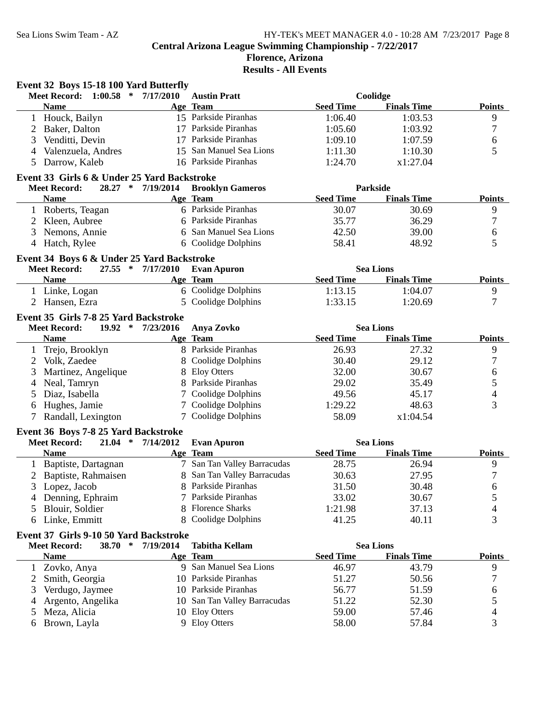# **Florence, Arizona Results - All Events**

|              | Event 32 Boys 15-18 100 Yard Butterfly      |                   |                                                |                  |                    |                  |
|--------------|---------------------------------------------|-------------------|------------------------------------------------|------------------|--------------------|------------------|
|              | <b>Meet Record: 1:00.58</b><br>$\ast$       | 7/17/2010         | <b>Austin Pratt</b>                            |                  | Coolidge           |                  |
|              | <b>Name</b>                                 |                   | Age Team                                       | <b>Seed Time</b> | <b>Finals Time</b> | <b>Points</b>    |
|              | 1 Houck, Bailyn                             |                   | 15 Parkside Piranhas                           | 1:06.40          | 1:03.53            | $\overline{9}$   |
| 2            | Baker, Dalton                               |                   | 17 Parkside Piranhas                           | 1:05.60          | 1:03.92            | $\boldsymbol{7}$ |
| 3            | Venditti, Devin                             |                   | 17 Parkside Piranhas                           | 1:09.10          | 1:07.59            | 6                |
| 4            | Valenzuela, Andres                          | 15                | San Manuel Sea Lions                           | 1:11.30          | 1:10.30            | 5                |
| 5            | Darrow, Kaleb                               |                   | 16 Parkside Piranhas                           | 1:24.70          | x1:27.04           |                  |
|              | Event 33 Girls 6 & Under 25 Yard Backstroke |                   |                                                |                  |                    |                  |
|              | <b>Meet Record:</b>                         | 28.27 * 7/19/2014 | <b>Brooklyn Gameros</b>                        |                  | <b>Parkside</b>    |                  |
|              | <b>Name</b>                                 |                   | Age Team                                       | <b>Seed Time</b> | <b>Finals Time</b> | <b>Points</b>    |
|              | 1 Roberts, Teagan                           |                   | 6 Parkside Piranhas                            | 30.07            | 30.69              | 9                |
|              | 2 Kleen, Aubree                             |                   | 6 Parkside Piranhas                            | 35.77            | 36.29              | $\boldsymbol{7}$ |
|              | 3 Nemons, Annie                             |                   | 6 San Manuel Sea Lions                         | 42.50            | 39.00              | 6                |
|              | 4 Hatch, Rylee                              |                   | 6 Coolidge Dolphins                            | 58.41            | 48.92              | 5                |
|              |                                             |                   |                                                |                  |                    |                  |
|              | Event 34 Boys 6 & Under 25 Yard Backstroke  |                   |                                                |                  |                    |                  |
|              | <b>Meet Record:</b>                         | 27.55 * 7/17/2010 | <b>Evan Apuron</b>                             |                  | <b>Sea Lions</b>   |                  |
|              | <b>Name</b>                                 |                   | Age Team<br>6 Coolidge Dolphins                | <b>Seed Time</b> | <b>Finals Time</b> | <b>Points</b>    |
|              | 1 Linke, Logan                              |                   |                                                | 1:13.15          | 1:04.07            | 9                |
|              | 2 Hansen, Ezra                              |                   | 5 Coolidge Dolphins                            | 1:33.15          | 1:20.69            | 7                |
|              | Event 35 Girls 7-8 25 Yard Backstroke       |                   |                                                |                  |                    |                  |
|              | $19.92$ *<br><b>Meet Record:</b>            | 7/23/2016         | Anya Zovko                                     |                  | <b>Sea Lions</b>   |                  |
|              | <b>Name</b>                                 |                   | Age Team                                       | <b>Seed Time</b> | <b>Finals Time</b> | <b>Points</b>    |
| 1            | Trejo, Brooklyn                             |                   | 8 Parkside Piranhas                            | 26.93            | 27.32              | 9                |
| 2            | Volk, Zaedee                                | 8                 | Coolidge Dolphins                              | 30.40            | 29.12              | $\tau$           |
| 3            | Martinez, Angelique                         | 8                 | <b>Eloy Otters</b>                             | 32.00            | 30.67              | 6                |
| 4            | Neal, Tamryn                                |                   | Parkside Piranhas                              | 29.02            | 35.49              | $\mathfrak s$    |
| 5            | Diaz, Isabella                              |                   | Coolidge Dolphins                              | 49.56            | 45.17              | $\overline{4}$   |
| 6            | Hughes, Jamie                               |                   | 7 Coolidge Dolphins                            | 1:29.22          | 48.63              | 3                |
| 7            | Randall, Lexington                          |                   | 7 Coolidge Dolphins                            | 58.09            | x1:04.54           |                  |
|              | Event 36 Boys 7-8 25 Yard Backstroke        |                   |                                                |                  |                    |                  |
|              | <b>Meet Record:</b><br>$21.04$ *            | 7/14/2012         | <b>Evan Apuron</b>                             |                  | <b>Sea Lions</b>   |                  |
|              | Name                                        |                   | Age Team                                       | <b>Seed Time</b> | <b>Finals Time</b> | <b>Points</b>    |
| $\mathbf{1}$ | Baptiste, Dartagnan                         |                   | 7 San Tan Valley Barracudas                    | 28.75            | 26.94              | $\overline{9}$   |
|              | Baptiste, Rahmaisen                         |                   | 8 San Tan Valley Barracudas                    | 30.63            | 27.95              | 7                |
|              | 3 Lopez, Jacob                              |                   | 8 Parkside Piranhas                            | 31.50            | 30.48              | 6                |
|              | Denning, Ephraim                            |                   | 7 Parkside Piranhas                            | 33.02            | 30.67              | 5                |
|              | Blouir, Soldier                             | 8                 | <b>Florence Sharks</b>                         | 1:21.98          | 37.13              | 4                |
| 6            | Linke, Emmitt                               | 8                 | Coolidge Dolphins                              | 41.25            | 40.11              | 3                |
|              |                                             |                   |                                                |                  |                    |                  |
|              | Event 37 Girls 9-10 50 Yard Backstroke      |                   |                                                |                  |                    |                  |
|              | 38.70 *<br><b>Meet Record:</b>              | 7/19/2014         | <b>Tabitha Kellam</b>                          |                  | <b>Sea Lions</b>   |                  |
|              | <b>Name</b>                                 |                   | Age Team                                       | <b>Seed Time</b> | <b>Finals Time</b> | <b>Points</b>    |
| $\mathbf{1}$ | Zovko, Anya                                 |                   | 9 San Manuel Sea Lions<br>10 Parkside Piranhas | 46.97            | 43.79              | 9                |
| 2            | Smith, Georgia                              |                   |                                                | 51.27            | 50.56              | 7                |
| 3            | Verdugo, Jaymee                             |                   | 10 Parkside Piranhas                           | 56.77            | 51.59              | 6                |
| 4            | Argento, Angelika                           | 10                | San Tan Valley Barracudas                      | 51.22            | 52.30              | 5                |
| 5            |                                             |                   |                                                |                  | 57.46              | $\overline{4}$   |
| 6            | Meza, Alicia<br>Brown, Layla                | 10<br>9           | <b>Eloy Otters</b><br><b>Eloy Otters</b>       | 59.00<br>58.00   | 57.84              | 3                |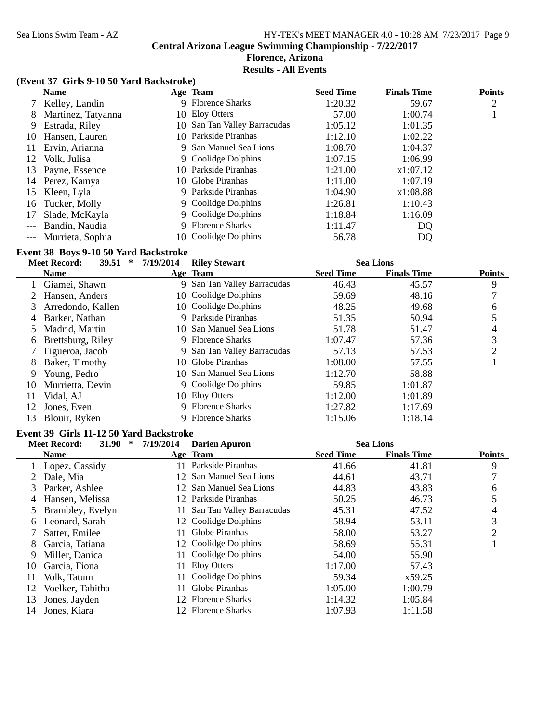### Sea Lions Swim Team - AZ HY-TEK's MEET MANAGER 4.0 - 10:28 AM 7/23/2017 Page 9 **Central Arizona League Swimming Championship - 7/22/2017**

# **Florence, Arizona Results - All Events**

#### **(Event 37 Girls 9-10 50 Yard Backstroke)**

|       | <b>Name</b>        | Age Team                     | <b>Seed Time</b> | <b>Finals Time</b> | <b>Points</b> |
|-------|--------------------|------------------------------|------------------|--------------------|---------------|
|       | 7 Kelley, Landin   | 9 Florence Sharks            | 1:20.32          | 59.67              | 2             |
|       | Martinez, Tatyanna | 10 Eloy Otters               | 57.00            | 1:00.74            |               |
| 9.    | Estrada, Riley     | 10 San Tan Valley Barracudas | 1:05.12          | 1:01.35            |               |
| 10    | Hansen, Lauren     | 10 Parkside Piranhas         | 1:12.10          | 1:02.22            |               |
|       | Ervin, Arianna     | 9 San Manuel Sea Lions       | 1:08.70          | 1:04.37            |               |
| 12    | Volk, Julisa       | 9 Coolidge Dolphins          | 1:07.15          | 1:06.99            |               |
|       | 13 Payne, Essence  | 10 Parkside Piranhas         | 1:21.00          | x1:07.12           |               |
|       | 14 Perez, Kamya    | 10 Globe Piranhas            | 1:11.00          | 1:07.19            |               |
|       | 15 Kleen, Lyla     | 9 Parkside Piranhas          | 1:04.90          | x1:08.88           |               |
|       | 16 Tucker, Molly   | 9 Coolidge Dolphins          | 1:26.81          | 1:10.43            |               |
| 17    | Slade, McKayla     | 9 Coolidge Dolphins          | 1:18.84          | 1:16.09            |               |
| $---$ | Bandin, Naudia     | 9 Florence Sharks            | 1:11.47          | DQ                 |               |
|       | Murrieta, Sophia   | 10 Coolidge Dolphins         | 56.78            | DQ                 |               |

#### **Event 38 Boys 9-10 50 Yard Backstroke**

|    | 39.51<br><b>Meet Record:</b> | 7/19/2014<br>∗ | <b>Riley Stewart</b>        |                  | <b>Sea Lions</b>   |               |
|----|------------------------------|----------------|-----------------------------|------------------|--------------------|---------------|
|    | <b>Name</b>                  |                | Age Team                    | <b>Seed Time</b> | <b>Finals Time</b> | <b>Points</b> |
|    | Giamei, Shawn                |                | 9 San Tan Valley Barracudas | 46.43            | 45.57              | 9             |
|    | Hansen, Anders               |                | 10 Coolidge Dolphins        | 59.69            | 48.16              |               |
| 3  | Arredondo, Kallen            |                | 10 Coolidge Dolphins        | 48.25            | 49.68              | 6             |
| 4  | Barker, Nathan               | 9              | Parkside Piranhas           | 51.35            | 50.94              |               |
|    | Madrid, Martin               |                | 10 San Manuel Sea Lions     | 51.78            | 51.47              | 4             |
| 6  | Brettsburg, Riley            |                | 9 Florence Sharks           | 1:07.47          | 57.36              | 3             |
|    | Figueroa, Jacob              | 9.             | San Tan Valley Barracudas   | 57.13            | 57.53              | 2             |
| 8  | Baker, Timothy               |                | 10 Globe Piranhas           | 1:08.00          | 57.55              |               |
| 9  | Young, Pedro                 |                | 10 San Manuel Sea Lions     | 1:12.70          | 58.88              |               |
| 10 | Murrietta, Devin             |                | 9 Coolidge Dolphins         | 59.85            | 1:01.87            |               |
| 11 | Vidal, AJ                    |                | 10 Eloy Otters              | 1:12.00          | 1:01.89            |               |
| 12 | Jones, Even                  |                | 9 Florence Sharks           | 1:27.82          | 1:17.69            |               |
| 13 | Blouir, Ryken                |                | 9 Florence Sharks           | 1:15.06          | 1:18.14            |               |

#### **Event 39 Girls 11-12 50 Yard Backstroke**

|    | 31.90<br><b>Meet Record:</b> | 7/19/2014<br>∗ | <b>Darien Apuron</b>      |                  | <b>Sea Lions</b>   |                |
|----|------------------------------|----------------|---------------------------|------------------|--------------------|----------------|
|    | <b>Name</b>                  |                | Age Team                  | <b>Seed Time</b> | <b>Finals Time</b> | <b>Points</b>  |
|    | Lopez, Cassidy               |                | Parkside Piranhas         | 41.66            | 41.81              | 9              |
|    | Dale, Mia                    |                | 12 San Manuel Sea Lions   | 44.61            | 43.71              |                |
| 3  | Parker, Ashlee               |                | 12 San Manuel Sea Lions   | 44.83            | 43.83              | 6              |
| 4  | Hansen, Melissa              |                | 12 Parkside Piranhas      | 50.25            | 46.73              |                |
|    | Brambley, Evelyn             |                | San Tan Valley Barracudas | 45.31            | 47.52              | 4              |
| 6  | Leonard, Sarah               |                | 12 Coolidge Dolphins      | 58.94            | 53.11              | 3              |
|    | Satter, Emilee               | 11             | Globe Piranhas            | 58.00            | 53.27              | $\overline{c}$ |
| 8  | Garcia, Tatiana              |                | 12 Coolidge Dolphins      | 58.69            | 55.31              |                |
| 9  | Miller, Danica               |                | Coolidge Dolphins         | 54.00            | 55.90              |                |
| 10 | Garcia, Fiona                | 11             | Eloy Otters               | 1:17.00          | 57.43              |                |
| 11 | Volk, Tatum                  | 11             | Coolidge Dolphins         | 59.34            | x59.25             |                |
| 12 | Voelker, Tabitha             |                | Globe Piranhas            | 1:05.00          | 1:00.79            |                |
| 13 | Jones, Jayden                |                | 12 Florence Sharks        | 1:14.32          | 1:05.84            |                |
| 14 | Jones, Kiara                 |                | <b>Florence Sharks</b>    | 1:07.93          | 1:11.58            |                |
|    |                              |                |                           |                  |                    |                |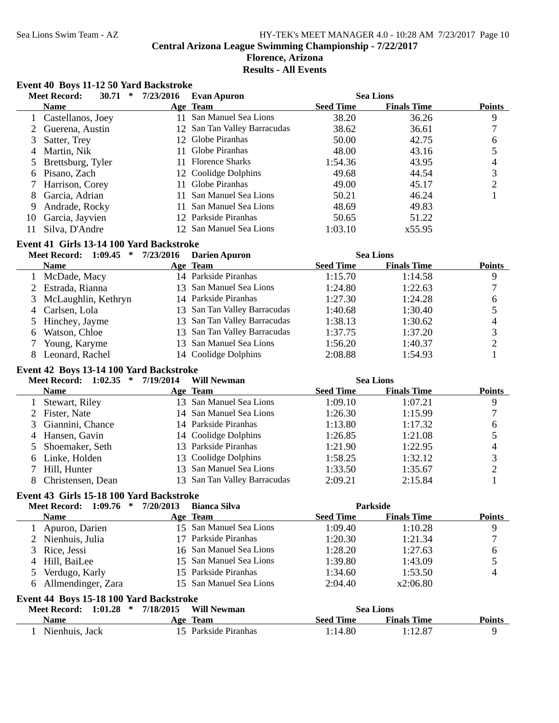# Sea Lions Swim Team - AZ HY-TEK's MEET MANAGER 4.0 - 10:28 AM 7/23/2017 Page 10 **Central Arizona League Swimming Championship - 7/22/2017 Florence, Arizona Results - All Events**

# **Event 40 Boys 11-12 50 Yard Backstroke**

|    | <b>Meet Record:</b><br>30.71<br>∗ | 7/23/2016 | <b>Evan Apuron</b>           |                  | <b>Sea Lions</b>   |               |
|----|-----------------------------------|-----------|------------------------------|------------------|--------------------|---------------|
|    | <b>Name</b>                       |           | Age Team                     | <b>Seed Time</b> | <b>Finals Time</b> | <b>Points</b> |
|    | 1 Castellanos, Joey               | 11.       | San Manuel Sea Lions         | 38.20            | 36.26              | 9             |
|    | 2 Guerena, Austin                 |           | 12 San Tan Valley Barracudas | 38.62            | 36.61              |               |
|    | 3 Satter, Trey                    |           | 12 Globe Piranhas            | 50.00            | 42.75              | 6             |
|    | 4 Martin, Nik                     |           | 11 Globe Piranhas            | 48.00            | 43.16              |               |
|    | 5 Brettsburg, Tyler               |           | 11 Florence Sharks           | 1:54.36          | 43.95              | 4             |
|    | 6 Pisano, Zach                    |           | 12 Coolidge Dolphins         | 49.68            | 44.54              | 3             |
|    | 7 Harrison, Corey                 | 11.       | Globe Piranhas               | 49.00            | 45.17              | ◠             |
|    | 8 Garcia, Adrian                  |           | San Manuel Sea Lions         | 50.21            | 46.24              |               |
| 9  | Andrade, Rocky                    |           | San Manuel Sea Lions         | 48.69            | 49.83              |               |
| 10 | Garcia, Jayvien                   |           | 12 Parkside Piranhas         | 50.65            | 51.22              |               |
| 11 | Silva, D'Andre                    |           | 12 San Manuel Sea Lions      | 1:03.10          | x55.95             |               |

# **Event 41 Girls 13-14 100 Yard Backstroke**

| <b>Meet Record: 1:09.45</b><br>∗ | 7/23/2016 | <b>Darien Apuron</b>         |                  | <b>Sea Lions</b>   |               |
|----------------------------------|-----------|------------------------------|------------------|--------------------|---------------|
| <b>Name</b>                      |           | Age Team                     | <b>Seed Time</b> | <b>Finals Time</b> | <b>Points</b> |
| 1 McDade, Macy                   |           | 14 Parkside Piranhas         | 1:15.70          | 1:14.58            | 9             |
| 2 Estrada, Rianna                |           | 13 San Manuel Sea Lions      | 1:24.80          | 1:22.63            |               |
| 3 McLaughlin, Kethryn            |           | 14 Parkside Piranhas         | 1:27.30          | 1:24.28            | 6             |
| 4 Carlsen, Lola                  |           | 13 San Tan Valley Barracudas | 1:40.68          | 1:30.40            |               |
| 5 Hinchey, Jayme                 |           | 13 San Tan Valley Barracudas | 1:38.13          | 1:30.62            |               |
| 6 Watson, Chloe                  |           | 13 San Tan Valley Barracudas | 1:37.75          | 1:37.20            |               |
| Young, Karyme                    |           | 13 San Manuel Sea Lions      | 1:56.20          | 1:40.37            |               |
| Leonard, Rachel                  |           | 14 Coolidge Dolphins         | 2:08.88          | 1:54.93            |               |

# **Event 42 Boys 13-14 100 Yard Backstroke**

| 1:02.35<br><b>Meet Record:</b><br>$\ast$ | 7/19/2014<br><b>Will Newman</b> |                  | <b>Sea Lions</b>   |               |
|------------------------------------------|---------------------------------|------------------|--------------------|---------------|
| <b>Name</b>                              | Age Team                        | <b>Seed Time</b> | <b>Finals Time</b> | <b>Points</b> |
| 1 Stewart, Riley                         | 13 San Manuel Sea Lions         | 1:09.10          | 1:07.21            |               |
| 2 Fister, Nate                           | 14 San Manuel Sea Lions         | 1:26.30          | 1:15.99            |               |
| 3 Giannini, Chance                       | 14 Parkside Piranhas            | 1:13.80          | 1:17.32            | 6             |
| 4 Hansen, Gavin                          | 14 Coolidge Dolphins            | 1:26.85          | 1:21.08            |               |
| 5 Shoemaker, Seth                        | 13 Parkside Piranhas            | 1:21.90          | 1:22.95            |               |
| 6 Linke, Holden                          | 13 Coolidge Dolphins            | 1:58.25          | 1:32.12            |               |
| Hill, Hunter                             | 13 San Manuel Sea Lions         | 1:33.50          | 1:35.67            |               |
| Christensen, Dean                        | 13 San Tan Valley Barracudas    | 2:09.21          | 2:15.84            |               |

# **Event 43 Girls 15-18 100 Yard Backstroke**

|                                         | Meet Record: 1:09.76 * | 7/20/2013 | <b>Bianca Silva</b>     |                  | <b>Parkside</b>    |               |
|-----------------------------------------|------------------------|-----------|-------------------------|------------------|--------------------|---------------|
|                                         | <b>Name</b>            |           | Age Team                | <b>Seed Time</b> | <b>Finals Time</b> | <b>Points</b> |
|                                         | Apuron, Darien         |           | 15 San Manuel Sea Lions | 1:09.40          | 1:10.28            | 9             |
|                                         | 2 Nienhuis, Julia      |           | 17 Parkside Piranhas    | 1:20.30          | 1:21.34            | 7             |
|                                         | 3 Rice, Jessi          |           | 16 San Manuel Sea Lions | 1:28.20          | 1:27.63            | 6             |
|                                         | 4 Hill, BaiLee         |           | 15 San Manuel Sea Lions | 1:39.80          | 1:43.09            |               |
|                                         | 5 Verdugo, Karly       |           | 15 Parkside Piranhas    | 1:34.60          | 1:53.50            | 4             |
|                                         | 6 Allmendinger, Zara   |           | 15 San Manuel Sea Lions | 2:04.40          | x2:06.80           |               |
| Event 44 Boys 15-18 100 Yard Backstroke |                        |           |                         |                  |                    |               |

| Meet Record: 1:01.28 * | 7/18/2015 | <b>Will Newman</b>   |           | <b>Sea Lions</b>   |               |
|------------------------|-----------|----------------------|-----------|--------------------|---------------|
| Name                   |           | Age Team             | Seed Time | <b>Finals Time</b> | <b>Points</b> |
| Nienhuis, Jack         |           | 15 Parkside Piranhas | 1:14.80   | 1:12.87            |               |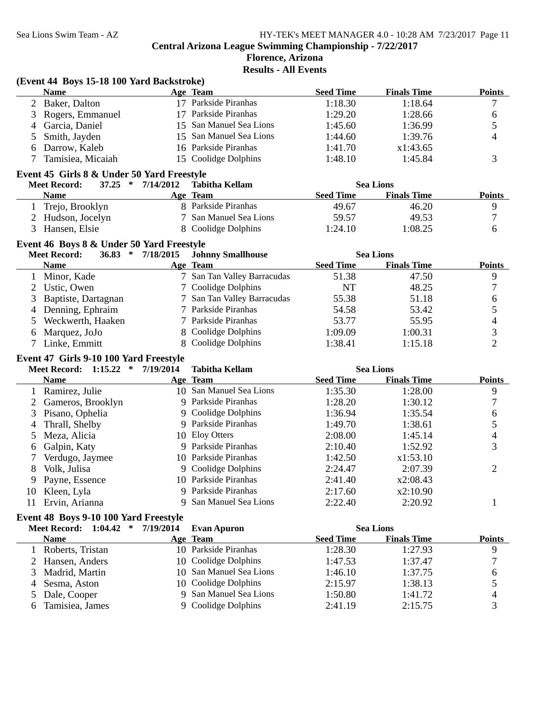### **Florence, Arizona Results - All Events**

|              | (Event 44 Boys 15-18 100 Yard Backstroke)                                  |           |                                           |                    |                    |                          |
|--------------|----------------------------------------------------------------------------|-----------|-------------------------------------------|--------------------|--------------------|--------------------------|
|              | <b>Name</b>                                                                |           | Age Team                                  | <b>Seed Time</b>   | <b>Finals Time</b> | <b>Points</b>            |
|              | 2 Baker, Dalton                                                            |           | 17 Parkside Piranhas                      | 1:18.30            | 1:18.64            | 7                        |
| 3            | Rogers, Emmanuel                                                           |           | 17 Parkside Piranhas                      | 1:29.20            | 1:28.66            | 6                        |
| 4            | Garcia, Daniel                                                             |           | 15 San Manuel Sea Lions                   | 1:45.60            | 1:36.99            | 5                        |
| 5            | Smith, Jayden                                                              |           | 15 San Manuel Sea Lions                   | 1:44.60            | 1:39.76            | 4                        |
| 6            | Darrow, Kaleb                                                              |           | 16 Parkside Piranhas                      | 1:41.70            | x1:43.65           |                          |
| 7            | Tamisiea, Micaiah                                                          |           | 15 Coolidge Dolphins                      | 1:48.10            | 1:45.84            | 3                        |
|              | Event 45 Girls 8 & Under 50 Yard Freestyle                                 |           |                                           |                    |                    |                          |
|              | $37.25$ *<br><b>Meet Record:</b>                                           | 7/14/2012 | <b>Tabitha Kellam</b>                     |                    | <b>Sea Lions</b>   |                          |
|              | <b>Name</b>                                                                |           | Age Team                                  | <b>Seed Time</b>   | <b>Finals Time</b> | <b>Points</b>            |
| 1            | Trejo, Brooklyn                                                            |           | 8 Parkside Piranhas                       | 49.67              | 46.20              | 9                        |
|              | 2 Hudson, Jocelyn                                                          | 7         | San Manuel Sea Lions                      | 59.57              | 49.53              | 7                        |
| 3            | Hansen, Elsie                                                              |           | 8 Coolidge Dolphins                       | 1:24.10            | 1:08.25            | 6                        |
|              | Event 46 Boys 8 & Under 50 Yard Freestyle                                  |           |                                           |                    |                    |                          |
|              | $36.83$ *<br><b>Meet Record:</b>                                           | 7/18/2015 | <b>Johnny Smallhouse</b>                  |                    | <b>Sea Lions</b>   |                          |
|              | <b>Name</b>                                                                |           | Age Team                                  | <b>Seed Time</b>   | <b>Finals Time</b> | <b>Points</b>            |
| 1            | Minor, Kade                                                                |           | 7 San Tan Valley Barracudas               | 51.38              | 47.50              | 9                        |
| 2            | Ustic, Owen                                                                |           | Coolidge Dolphins                         | <b>NT</b>          | 48.25              | 7                        |
| 3            | Baptiste, Dartagnan                                                        |           | San Tan Valley Barracudas                 | 55.38              | 51.18              | $\boldsymbol{6}$         |
| 4            | Denning, Ephraim                                                           |           | Parkside Piranhas                         | 54.58              | 53.42              | 5                        |
| 5            | Weckwerth, Haaken                                                          |           | Parkside Piranhas                         | 53.77              | 55.95              | $\overline{\mathcal{L}}$ |
| 6            | Marquez, JoJo                                                              | 8         | Coolidge Dolphins                         | 1:09.09            | 1:00.31            | 3                        |
| 7            | Linke, Emmitt                                                              |           | 8 Coolidge Dolphins                       | 1:38.41            | 1:15.18            | $\overline{2}$           |
|              |                                                                            |           |                                           |                    |                    |                          |
|              | Event 47 Girls 9-10 100 Yard Freestyle<br><b>Meet Record: 1:15.22</b><br>∗ | 7/19/2014 | <b>Tabitha Kellam</b>                     |                    | <b>Sea Lions</b>   |                          |
|              | <b>Name</b>                                                                |           | Age Team                                  | <b>Seed Time</b>   | <b>Finals Time</b> | <b>Points</b>            |
| $\mathbf{1}$ |                                                                            |           |                                           |                    |                    |                          |
|              |                                                                            |           |                                           |                    |                    |                          |
|              | Ramirez, Julie                                                             |           | 10 San Manuel Sea Lions                   | 1:35.30            | 1:28.00            | 9                        |
| 2            | Gameros, Brooklyn                                                          |           | 9 Parkside Piranhas                       | 1:28.20            | 1:30.12            | $\boldsymbol{7}$         |
| 3            | Pisano, Ophelia                                                            |           | 9 Coolidge Dolphins                       | 1:36.94            | 1:35.54            | $\boldsymbol{6}$         |
| 4            | Thrall, Shelby                                                             |           | 9 Parkside Piranhas                       | 1:49.70            | 1:38.61            | $\mathfrak s$            |
| 5            | Meza, Alicia                                                               |           | 10 Eloy Otters                            | 2:08.00            | 1:45.14            | $\overline{4}$           |
| 6            | Galpin, Katy                                                               |           | Parkside Piranhas                         | 2:10.40            | 1:52.92            | 3                        |
|              | Verdugo, Jaymee                                                            |           | 10 Parkside Piranhas                      | 1:42.50            | x1:53.10           |                          |
| 8            | Volk, Julisa                                                               |           | 9 Coolidge Dolphins                       | 2:24.47            | 2:07.39            | $\overline{2}$           |
| 9            | Payne, Essence                                                             |           | 10 Parkside Piranhas                      | 2:41.40            | x2:08.43           |                          |
|              | 10 Kleen, Lyla                                                             | 9<br>9    | Parkside Piranhas                         | 2:17.60            | x2:10.90           |                          |
| 11           | Ervin, Arianna                                                             |           | San Manuel Sea Lions                      | 2:22.40            | 2:20.92            | 1                        |
|              | Event 48 Boys 9-10 100 Yard Freestyle                                      |           |                                           |                    |                    |                          |
|              | <b>Meet Record: 1:04.42</b><br>$\ast$                                      | 7/19/2014 | <b>Evan Apuron</b>                        |                    | <b>Sea Lions</b>   |                          |
|              | <b>Name</b>                                                                |           | Age Team                                  | <b>Seed Time</b>   | <b>Finals Time</b> | <b>Points</b>            |
| $\mathbf{1}$ | Roberts, Tristan                                                           |           | 10 Parkside Piranhas                      | 1:28.30            | 1:27.93            | 9                        |
|              | Hansen, Anders                                                             | 10        | Coolidge Dolphins                         | 1:47.53            | 1:37.47            | $\overline{7}$           |
| 3            | Madrid, Martin                                                             | 10        | San Manuel Sea Lions                      | 1:46.10            | 1:37.75            | 6                        |
| 4            | Sesma, Aston                                                               | 10        | Coolidge Dolphins                         | 2:15.97            | 1:38.13            | 5                        |
| 5<br>6       | Dale, Cooper<br>Tamisiea, James                                            | 9<br>9    | San Manuel Sea Lions<br>Coolidge Dolphins | 1:50.80<br>2:41.19 | 1:41.72<br>2:15.75 | 4<br>3                   |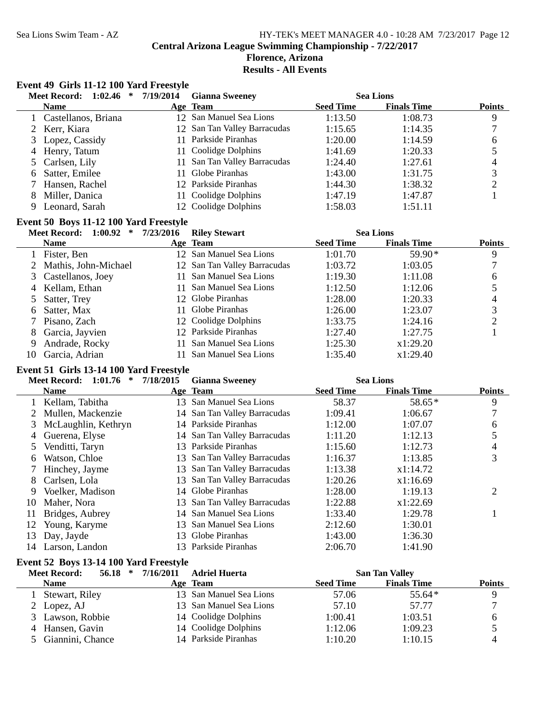### Sea Lions Swim Team - AZ HY-TEK's MEET MANAGER 4.0 - 10:28 AM 7/23/2017 Page 12 **Central Arizona League Swimming Championship - 7/22/2017 Florence, Arizona Results - All Events**

# **Event 49 Girls 11-12 100 Yard Freestyle**

|              | <b>Meet Record:</b><br>1:02.46<br>*     | 7/19/2014 | <b>Gianna Sweeney</b>                        |                    | <b>Sea Lions</b>      |                          |
|--------------|-----------------------------------------|-----------|----------------------------------------------|--------------------|-----------------------|--------------------------|
|              | <b>Name</b>                             |           | Age Team                                     | <b>Seed Time</b>   | <b>Finals Time</b>    | <b>Points</b>            |
| 1            | Castellanos, Briana                     |           | 12 San Manuel Sea Lions                      | 1:13.50            | 1:08.73               | 9                        |
| 2            | Kerr, Kiara                             |           | 12 San Tan Valley Barracudas                 | 1:15.65            | 1:14.35               | 7                        |
| 3            | Lopez, Cassidy                          | 11        | Parkside Piranhas                            | 1:20.00            | 1:14.59               | $\sqrt{6}$               |
| 4            | Henry, Tatum                            | 11        | Coolidge Dolphins                            | 1:41.69            | 1:20.33               | 5                        |
| 5            | Carlsen, Lily                           | 11        | San Tan Valley Barracudas                    | 1:24.40            | 1:27.61               | 4                        |
| 6            | Satter, Emilee                          | 11        | Globe Piranhas                               | 1:43.00            | 1:31.75               | 3                        |
|              | Hansen, Rachel                          |           | 12 Parkside Piranhas                         | 1:44.30            | 1:38.32               | $\mathbf{2}$             |
| 8            | Miller, Danica                          |           | 11 Coolidge Dolphins                         | 1:47.19            | 1:47.87               | 1                        |
| 9            | Leonard, Sarah                          |           | 12 Coolidge Dolphins                         | 1:58.03            | 1:51.11               |                          |
|              | Event 50 Boys 11-12 100 Yard Freestyle  |           |                                              |                    |                       |                          |
|              | Meet Record: 1:00.92 *                  | 7/23/2016 | <b>Riley Stewart</b>                         |                    | <b>Sea Lions</b>      |                          |
|              | <b>Name</b>                             |           | Age Team                                     | <b>Seed Time</b>   | <b>Finals Time</b>    | <b>Points</b>            |
| $\mathbf{1}$ | Fister, Ben                             |           | 12 San Manuel Sea Lions                      | 1:01.70            | 59.90*                | 9                        |
| 2            | Mathis, John-Michael                    |           | 12 San Tan Valley Barracudas                 | 1:03.72            | 1:03.05               | 7                        |
| 3            | Castellanos, Joey                       | 11        | San Manuel Sea Lions                         | 1:19.30            | 1:11.08               | 6                        |
| 4            | Kellam, Ethan                           | 11        | San Manuel Sea Lions                         | 1:12.50            | 1:12.06               | 5                        |
| 5            | Satter, Trey                            |           | 12 Globe Piranhas                            | 1:28.00            | 1:20.33               | $\overline{\mathcal{A}}$ |
| 6            | Satter, Max                             | 11        | Globe Piranhas                               | 1:26.00            | 1:23.07               | 3                        |
|              | Pisano, Zach                            | 12        | Coolidge Dolphins                            | 1:33.75            | 1:24.16               | $\overline{2}$           |
| 8            | Garcia, Jayvien                         |           | 12 Parkside Piranhas                         | 1:27.40            | 1:27.75               | 1                        |
| 9            | Andrade, Rocky                          | 11        | San Manuel Sea Lions                         | 1:25.30            | x1:29.20              |                          |
| 10           | Garcia, Adrian                          |           | 11 San Manuel Sea Lions                      | 1:35.40            | x1:29.40              |                          |
|              |                                         |           |                                              |                    |                       |                          |
|              |                                         |           |                                              |                    |                       |                          |
|              | Event 51 Girls 13-14 100 Yard Freestyle |           |                                              |                    |                       |                          |
|              | <b>Meet Record:</b><br>$1:01.76$ *      | 7/18/2015 | <b>Gianna Sweeney</b>                        |                    | <b>Sea Lions</b>      |                          |
|              | <b>Name</b>                             |           | Age Team                                     | <b>Seed Time</b>   | <b>Finals Time</b>    | <b>Points</b>            |
| 1            | Kellam, Tabitha                         |           | 13 San Manuel Sea Lions                      | 58.37              | 58.65*                | 9                        |
| 2            | Mullen, Mackenzie                       |           | 14 San Tan Valley Barracudas                 | 1:09.41            | 1:06.67               | 7                        |
| 3            | McLaughlin, Kethryn                     |           | 14 Parkside Piranhas                         | 1:12.00            | 1:07.07               | 6                        |
| 4            | Guerena, Elyse                          |           | 14 San Tan Valley Barracudas                 | 1:11.20            | 1:12.13               | 5                        |
| 5            | Venditti, Taryn                         |           | 13 Parkside Piranhas                         | 1:15.60            | 1:12.73               | $\overline{\mathcal{L}}$ |
| 6            | Watson, Chloe                           | 13        | San Tan Valley Barracudas                    | 1:16.37            | 1:13.85               | 3                        |
|              | Hinchey, Jayme                          |           | 13 San Tan Valley Barracudas                 | 1:13.38            | x1:14.72              |                          |
| 8            | Carlsen, Lola                           | 13        | San Tan Valley Barracudas                    | 1:20.26            | x1:16.69              |                          |
| 9            | Voelker, Madison                        |           | 14 Globe Piranhas                            | 1:28.00            | 1:19.13               | $\mathbf{2}$             |
| 10           | Maher, Nora                             |           | 13 San Tan Valley Barracudas                 | 1:22.88            | x1:22.69              |                          |
| 11           | Bridges, Aubrey                         |           | 14 San Manuel Sea Lions                      | 1:33.40            | 1:29.78               | 1                        |
| 12           | Young, Karyme                           | 13        | San Manuel Sea Lions                         | 2:12.60            | 1:30.01               |                          |
| 13           | Day, Jayde                              |           | 13 Globe Piranhas                            | 1:43.00            | 1:36.30               |                          |
| 14           | Larson, Landon                          |           | 13 Parkside Piranhas                         | 2:06.70            | 1:41.90               |                          |
|              | Event 52 Boys 13-14 100 Yard Freestyle  |           |                                              |                    |                       |                          |
|              | <b>Meet Record:</b><br>$56.18$ *        | 7/16/2011 | <b>Adriel Huerta</b>                         |                    | <b>San Tan Valley</b> |                          |
|              | <b>Name</b>                             |           | Age Team                                     | <b>Seed Time</b>   | <b>Finals Time</b>    | <b>Points</b>            |
|              | Stewart, Riley                          |           | 13 San Manuel Sea Lions                      | 57.06              | 55.64*                | 9                        |
| 2            | Lopez, AJ                               | 13        | San Manuel Sea Lions                         | 57.10              | 57.77                 | 7                        |
| 3            | Lawson, Robbie<br>4 Hansen, Gavin       |           | 14 Coolidge Dolphins<br>14 Coolidge Dolphins | 1:00.41<br>1:12.06 | 1:03.51<br>1:09.23    | 6<br>5                   |

5 Giannini, Chance 14 Parkside Piranhas 1:10.20 1:10.15 4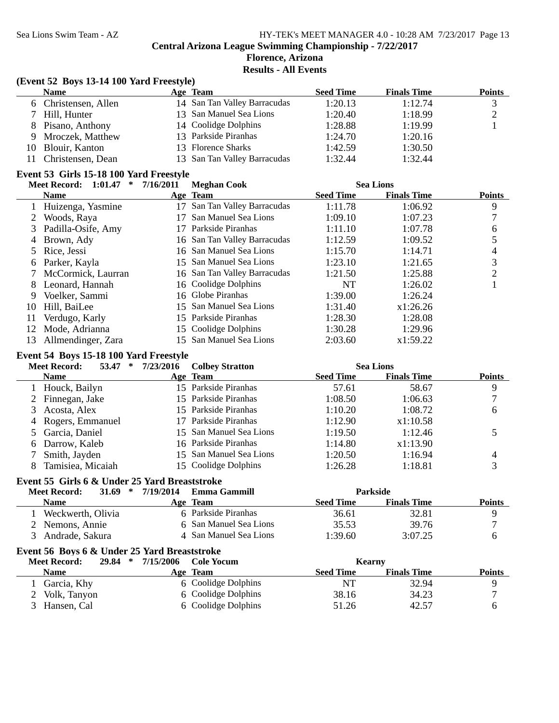**Florence, Arizona**

**Results - All Events**

|              | (Event 52 Boys 13-14 100 Yard Freestyle)                                   |           |                              |                  |                    |                          |
|--------------|----------------------------------------------------------------------------|-----------|------------------------------|------------------|--------------------|--------------------------|
|              | <b>Name</b>                                                                |           | Age Team                     | <b>Seed Time</b> | <b>Finals Time</b> | <b>Points</b>            |
| 6.           | Christensen, Allen                                                         |           | 14 San Tan Valley Barracudas | 1:20.13          | 1:12.74            | $\mathfrak{Z}$           |
|              | Hill, Hunter                                                               |           | 13 San Manuel Sea Lions      | 1:20.40          | 1:18.99            | $\mathbf{2}$             |
| 8            | Pisano, Anthony                                                            |           | 14 Coolidge Dolphins         | 1:28.88          | 1:19.99            | 1                        |
| 9            | Mroczek, Matthew                                                           |           | 13 Parkside Piranhas         | 1:24.70          | 1:20.16            |                          |
| 10           | Blouir, Kanton                                                             |           | 13 Florence Sharks           | 1:42.59          | 1:30.50            |                          |
| 11           | Christensen, Dean                                                          |           | 13 San Tan Valley Barracudas | 1:32.44          | 1:32.44            |                          |
|              | Event 53 Girls 15-18 100 Yard Freestyle                                    |           |                              |                  |                    |                          |
|              | Meet Record: 1:01.47 *                                                     | 7/16/2011 | <b>Meghan Cook</b>           |                  | <b>Sea Lions</b>   |                          |
|              | Name                                                                       |           | Age Team                     | <b>Seed Time</b> | <b>Finals Time</b> | <b>Points</b>            |
| $\mathbf{1}$ | Huizenga, Yasmine                                                          |           | 17 San Tan Valley Barracudas | 1:11.78          | 1:06.92            | $\boldsymbol{9}$         |
| 2            | Woods, Raya                                                                | 17        | San Manuel Sea Lions         | 1:09.10          | 1:07.23            | $\boldsymbol{7}$         |
| 3            | Padilla-Osife, Amy                                                         |           | 17 Parkside Piranhas         | 1:11.10          | 1:07.78            | 6                        |
| 4            | Brown, Ady                                                                 |           | 16 San Tan Valley Barracudas | 1:12.59          | 1:09.52            | 5                        |
| 5            | Rice, Jessi                                                                |           | 16 San Manuel Sea Lions      | 1:15.70          | 1:14.71            | $\overline{\mathcal{L}}$ |
| 6            | Parker, Kayla                                                              |           | 15 San Manuel Sea Lions      | 1:23.10          | 1:21.65            | $\mathfrak{Z}$           |
|              | McCormick, Laurran                                                         |           | 16 San Tan Valley Barracudas | 1:21.50          | 1:25.88            | $\overline{2}$           |
| 8            | Leonard, Hannah                                                            |           | 16 Coolidge Dolphins         | <b>NT</b>        | 1:26.02            | $\mathbf{1}$             |
| 9            | Voelker, Sammi                                                             |           | 16 Globe Piranhas            | 1:39.00          | 1:26.24            |                          |
| 10           | Hill, BaiLee                                                               |           | 15 San Manuel Sea Lions      | 1:31.40          | x1:26.26           |                          |
| 11           | Verdugo, Karly                                                             |           | 15 Parkside Piranhas         | 1:28.30          | 1:28.08            |                          |
| 12           | Mode, Adrianna                                                             |           | 15 Coolidge Dolphins         | 1:30.28          | 1:29.96            |                          |
| 13           | Allmendinger, Zara                                                         | 15        | San Manuel Sea Lions         | 2:03.60          | x1:59.22           |                          |
|              | Event 54 Boys 15-18 100 Yard Freestyle<br><b>Meet Record:</b><br>$53.47$ * | 7/23/2016 | <b>Colbey Stratton</b>       |                  | <b>Sea Lions</b>   |                          |
|              | <b>Name</b>                                                                |           | Age Team                     | <b>Seed Time</b> | <b>Finals Time</b> | <b>Points</b>            |
| $\mathbf{1}$ | Houck, Bailyn                                                              |           | 15 Parkside Piranhas         | 57.61            | 58.67              | 9                        |
| 2            | Finnegan, Jake                                                             |           | 15 Parkside Piranhas         | 1:08.50          | 1:06.63            | 7                        |
| 3            | Acosta, Alex                                                               |           | 15 Parkside Piranhas         | 1:10.20          | 1:08.72            | 6                        |
| 4            | Rogers, Emmanuel                                                           |           | 17 Parkside Piranhas         | 1:12.90          | x1:10.58           |                          |
| 5            | Garcia, Daniel                                                             | 15        | San Manuel Sea Lions         | 1:19.50          | 1:12.46            | 5                        |
| 6            | Darrow, Kaleb                                                              |           | 16 Parkside Piranhas         | 1:14.80          | x1:13.90           |                          |
| 7            | Smith, Jayden                                                              |           | 15 San Manuel Sea Lions      | 1:20.50          | 1:16.94            | 4                        |
| 8            | Tamisiea, Micaiah                                                          |           | 15 Coolidge Dolphins         | 1:26.28          | 1:18.81            | 3                        |
|              | Event 55 Girls 6 & Under 25 Yard Breaststroke                              |           |                              |                  |                    |                          |
|              | <b>Meet Record:</b><br>31.69<br>∗                                          | 7/19/2014 | <b>Emma Gammill</b>          |                  | Parkside           |                          |
|              | <b>Name</b>                                                                |           | Age Team                     | <b>Seed Time</b> | <b>Finals Time</b> | <b>Points</b>            |
|              | Weckwerth, Olivia                                                          |           | 6 Parkside Piranhas          | 36.61            | 32.81              | 9                        |
| 2            | Nemons, Annie                                                              |           | San Manuel Sea Lions         | 35.53            | 39.76              | 7                        |
| 3            | Andrade, Sakura                                                            |           | 4 San Manuel Sea Lions       | 1:39.60          | 3:07.25            | 6                        |
|              | Event 56 Boys 6 & Under 25 Yard Breaststroke                               |           |                              |                  |                    |                          |
|              | <b>Meet Record:</b><br>29.84 *                                             | 7/15/2006 | <b>Cole Yocum</b>            |                  | Kearny             |                          |
|              | <b>Name</b>                                                                |           | Age Team                     | <b>Seed Time</b> | <b>Finals Time</b> | <b>Points</b>            |
| $\mathbf{1}$ | Garcia, Khy                                                                |           | 6 Coolidge Dolphins          | <b>NT</b>        | 32.94              | 9                        |
| 2            | Volk, Tanyon                                                               | 6         | Coolidge Dolphins            | 38.16            | 34.23              | $\boldsymbol{7}$         |
| 3            | Hansen, Cal                                                                |           | 6 Coolidge Dolphins          | 51.26            | 42.57              | 6                        |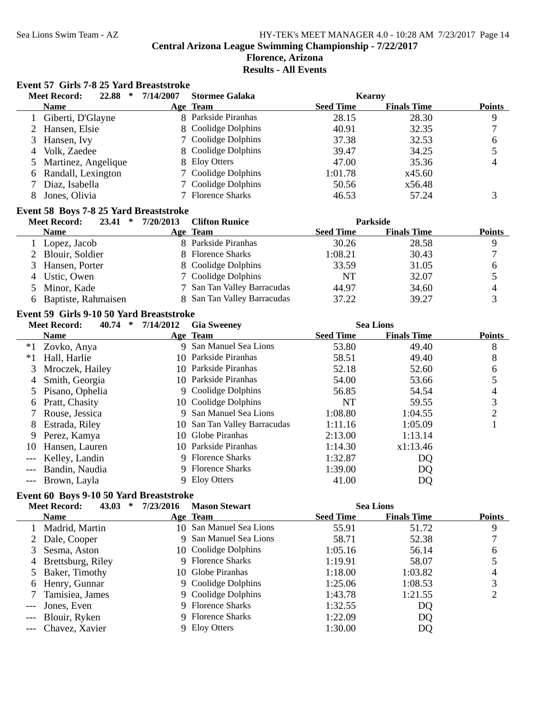### Sea Lions Swim Team - AZ HY-TEK's MEET MANAGER 4.0 - 10:28 AM 7/23/2017 Page 14

**Central Arizona League Swimming Championship - 7/22/2017**

#### **Florence, Arizona Results - All Events**

#### **Event 57 Girls 7-8 25 Yard Breaststroke**

|   | 22.88<br><b>Meet Record:</b><br>∗ | 7/14/2007 | <b>Stormee Galaka</b> |                  | Kearny             |               |
|---|-----------------------------------|-----------|-----------------------|------------------|--------------------|---------------|
|   | <b>Name</b>                       |           | Age Team              | <b>Seed Time</b> | <b>Finals Time</b> | <b>Points</b> |
|   | Giberti, D'Glayne                 |           | 8 Parkside Piranhas   | 28.15            | 28.30              | 9             |
|   | 2 Hansen, Elsie                   |           | 8 Coolidge Dolphins   | 40.91            | 32.35              |               |
|   | 3 Hansen, Ivy                     |           | 7 Coolidge Dolphins   | 37.38            | 32.53              | 6             |
| 4 | Volk, Zaedee                      |           | 8 Coolidge Dolphins   | 39.47            | 34.25              |               |
|   | 5 Martinez, Angelique             |           | 8 Eloy Otters         | 47.00            | 35.36              | 4             |
|   | 6 Randall, Lexington              |           | 7 Coolidge Dolphins   | 1:01.78          | x45.60             |               |
|   | Diaz, Isabella                    |           | 7 Coolidge Dolphins   | 50.56            | x56.48             |               |
|   | Jones, Olivia                     |           | 7 Florence Sharks     | 46.53            | 57.24              |               |
|   |                                   |           |                       |                  |                    |               |

#### **Event 58 Boys 7-8 25 Yard Breaststroke**

| <b>Meet Record:</b><br>23.41<br>∗ | 7/20/2013 | <b>Clifton Runice</b>       |                  | <b>Parkside</b>    |               |
|-----------------------------------|-----------|-----------------------------|------------------|--------------------|---------------|
| <b>Name</b>                       |           | Age Team                    | <b>Seed Time</b> | <b>Finals Time</b> | <b>Points</b> |
| 1 Lopez, Jacob                    |           | 8 Parkside Piranhas         | 30.26            | 28.58              |               |
| 2 Blouir, Soldier                 |           | 8 Florence Sharks           | 1:08.21          | 30.43              |               |
| 3 Hansen, Porter                  |           | 8 Coolidge Dolphins         | 33.59            | 31.05              | h             |
| 4 Ustic, Owen                     |           | 7 Coolidge Dolphins         | NT               | 32.07              |               |
| 5 Minor, Kade                     |           | 7 San Tan Valley Barracudas | 44.97            | 34.60              |               |
| 6 Baptiste, Rahmaisen             |           | 8 San Tan Valley Barracudas | 37.22            | 39.27              |               |

#### **Event 59 Girls 9-10 50 Yard Breaststroke**

|      | <b>Meet Record:</b><br>40.74<br>$\ast$ | 7/14/2012 | <b>Gia Sweeney</b>           |                  | <b>Sea Lions</b>   |               |
|------|----------------------------------------|-----------|------------------------------|------------------|--------------------|---------------|
|      | <b>Name</b>                            |           | Age Team                     | <b>Seed Time</b> | <b>Finals Time</b> | <b>Points</b> |
| $*1$ | Zovko, Anya                            |           | 9 San Manuel Sea Lions       | 53.80            | 49.40              | 8             |
| $*1$ | Hall, Harlie                           |           | 10 Parkside Piranhas         | 58.51            | 49.40              | 8             |
| 3    | Mroczek, Hailey                        |           | 10 Parkside Piranhas         | 52.18            | 52.60              | 6             |
| 4    | Smith, Georgia                         |           | 10 Parkside Piranhas         | 54.00            | 53.66              |               |
|      | 5 Pisano, Ophelia                      |           | 9 Coolidge Dolphins          | 56.85            | 54.54              | 4             |
| 6.   | Pratt, Chasity                         |           | 10 Coolidge Dolphins         | NT               | 59.55              | 3             |
|      | 7 Rouse, Jessica                       |           | 9 San Manuel Sea Lions       | 1:08.80          | 1:04.55            | 2             |
| 8    | Estrada, Riley                         |           | 10 San Tan Valley Barracudas | 1:11.16          | 1:05.09            |               |
|      | 9 Perez, Kamya                         | 10.       | Globe Piranhas               | 2:13.00          | 1:13.14            |               |
| 10   | Hansen, Lauren                         |           | 10 Parkside Piranhas         | 1:14.30          | x1:13.46           |               |
|      | Kelley, Landin                         |           | 9 Florence Sharks            | 1:32.87          | DQ                 |               |
|      | Bandin, Naudia                         |           | 9 Florence Sharks            | 1:39.00          | DQ                 |               |
|      | --- Brown, Layla                       |           | 9 Eloy Otters                | 41.00            | DQ                 |               |

#### **Event 60 Boys 9-10 50 Yard Breaststroke**

| <b>Meet Record:</b><br>43.03 | 7/23/2016 | <b>Mason Stewart</b> |                                                                                                                                                                                                                         |                    |                  |
|------------------------------|-----------|----------------------|-------------------------------------------------------------------------------------------------------------------------------------------------------------------------------------------------------------------------|--------------------|------------------|
| <b>Name</b>                  |           |                      | <b>Seed Time</b>                                                                                                                                                                                                        | <b>Finals Time</b> | <b>Points</b>    |
| Madrid, Martin               |           |                      | 55.91                                                                                                                                                                                                                   | 51.72              | 9                |
| 2 Dale, Cooper               |           |                      | 58.71                                                                                                                                                                                                                   | 52.38              |                  |
| Sesma, Aston                 |           |                      | 1:05.16                                                                                                                                                                                                                 | 56.14              | 6                |
| 4 Brettsburg, Riley          |           |                      | 1:19.91                                                                                                                                                                                                                 | 58.07              |                  |
| 5 Baker, Timothy             |           |                      | 1:18.00                                                                                                                                                                                                                 | 1:03.82            | 4                |
| 6 Henry, Gunnar              |           |                      | 1:25.06                                                                                                                                                                                                                 | 1:08.53            | 3                |
| Tamisiea, James              |           |                      | 1:43.78                                                                                                                                                                                                                 | 1:21.55            |                  |
| --- Jones, Even              |           |                      | 1:32.55                                                                                                                                                                                                                 | DQ                 |                  |
| --- Blouir, Ryken            |           |                      | 1:22.09                                                                                                                                                                                                                 | DQ                 |                  |
| --- Chavez, Xavier           |           | <b>Eloy Otters</b>   | 1:30.00                                                                                                                                                                                                                 | DQ                 |                  |
|                              |           | ∗                    | Age Team<br>10 San Manuel Sea Lions<br>9 San Manuel Sea Lions<br>10 Coolidge Dolphins<br>9 Florence Sharks<br>10 Globe Piranhas<br>9 Coolidge Dolphins<br>9 Coolidge Dolphins<br>9 Florence Sharks<br>9 Florence Sharks |                    | <b>Sea Lions</b> |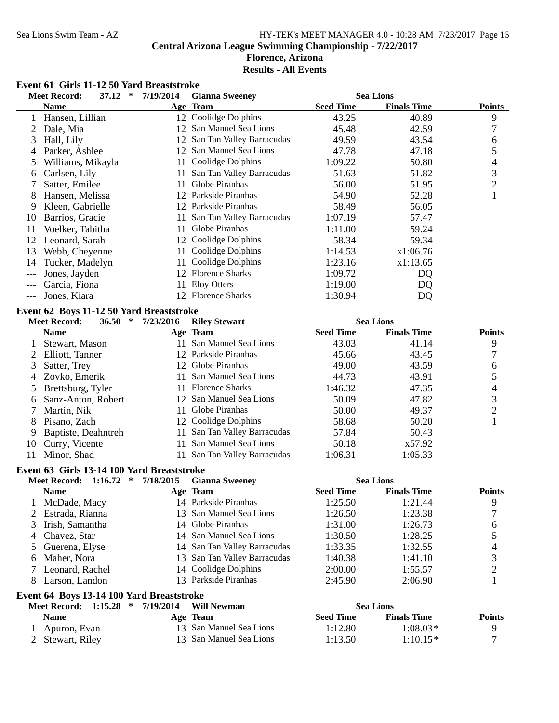# Sea Lions Swim Team - AZ HY-TEK's MEET MANAGER 4.0 - 10:28 AM 7/23/2017 Page 15 **Central Arizona League Swimming Championship - 7/22/2017 Florence, Arizona**

# **Results - All Events**

# **Event 61 Girls 11-12 50 Yard Breaststroke**

|                | <b>Meet Record:</b>                        | 37.12<br>$\ast$        | 7/19/2014 | <b>Gianna Sweeney</b>        |                  | <b>Sea Lions</b>   |                |
|----------------|--------------------------------------------|------------------------|-----------|------------------------------|------------------|--------------------|----------------|
|                | <b>Name</b>                                |                        |           | Age Team                     | <b>Seed Time</b> | <b>Finals Time</b> | <b>Points</b>  |
|                | 1 Hansen, Lillian                          |                        |           | 12 Coolidge Dolphins         | 43.25            | 40.89              | 9              |
| $\overline{2}$ | Dale, Mia                                  |                        |           | 12 San Manuel Sea Lions      | 45.48            | 42.59              | 7              |
| 3              | Hall, Lily                                 |                        |           | 12 San Tan Valley Barracudas | 49.59            | 43.54              | 6              |
| 4              | Parker, Ashlee                             |                        |           | 12 San Manuel Sea Lions      | 47.78            | 47.18              | 5              |
| 5              | Williams, Mikayla                          |                        | 11        | Coolidge Dolphins            | 1:09.22          | 50.80              | 4              |
| 6              | Carlsen, Lily                              |                        | 11        | San Tan Valley Barracudas    | 51.63            | 51.82              | 3              |
| 7              | Satter, Emilee                             |                        | 11        | Globe Piranhas               | 56.00            | 51.95              | $\overline{c}$ |
| 8              | Hansen, Melissa                            |                        |           | 12 Parkside Piranhas         | 54.90            | 52.28              | $\mathbf{1}$   |
| 9              | Kleen, Gabrielle                           |                        |           | 12 Parkside Piranhas         | 58.49            | 56.05              |                |
| 10             | Barrios, Gracie                            |                        | 11        | San Tan Valley Barracudas    | 1:07.19          | 57.47              |                |
| 11             | Voelker, Tabitha                           |                        | 11        | Globe Piranhas               | 1:11.00          | 59.24              |                |
| 12             | Leonard, Sarah                             |                        |           | 12 Coolidge Dolphins         | 58.34            | 59.34              |                |
| 13             | Webb, Cheyenne                             |                        | 11        | Coolidge Dolphins            | 1:14.53          | x1:06.76           |                |
| 14             | Tucker, Madelyn                            |                        | 11        | Coolidge Dolphins            | 1:23.16          | x1:13.65           |                |
| $---$          | Jones, Jayden                              |                        |           | 12 Florence Sharks           | 1:09.72          | DQ                 |                |
| $---$          | Garcia, Fiona                              |                        | 11        | <b>Eloy Otters</b>           | 1:19.00          | DQ                 |                |
| $---$          | Jones, Kiara                               |                        |           | 12 Florence Sharks           | 1:30.94          | DQ                 |                |
|                | Event 62 Boys 11-12 50 Yard Breaststroke   |                        |           |                              |                  |                    |                |
|                | <b>Meet Record:</b>                        | $\ast$<br><b>36.50</b> | 7/23/2016 | <b>Riley Stewart</b>         |                  | <b>Sea Lions</b>   |                |
|                | <b>Name</b>                                |                        |           | Age Team                     | <b>Seed Time</b> | <b>Finals Time</b> | <b>Points</b>  |
| $\mathbf{1}$   | Stewart, Mason                             |                        |           | 11 San Manuel Sea Lions      | 43.03            | 41.14              | 9              |
| 2              | Elliott, Tanner                            |                        |           | 12 Parkside Piranhas         | 45.66            | 43.45              | 7              |
| 3              | Satter, Trey                               |                        |           | 12 Globe Piranhas            | 49.00            | 43.59              | 6              |
| 4              | Zovko, Emerik                              |                        | 11        | San Manuel Sea Lions         | 44.73            | 43.91              | 5              |
| 5              | Brettsburg, Tyler                          |                        |           | 11 Florence Sharks           | 1:46.32          | 47.35              | $\overline{4}$ |
| 6              | Sanz-Anton, Robert                         |                        |           | 12 San Manuel Sea Lions      | 50.09            | 47.82              | $\mathfrak{Z}$ |
| 7              | Martin, Nik                                |                        |           | 11 Globe Piranhas            | 50.00            | 49.37              | $\overline{c}$ |
| 8              | Pisano, Zach                               |                        |           | 12 Coolidge Dolphins         | 58.68            | 50.20              | $\mathbf{1}$   |
| 9              | Baptiste, Deahntreh                        |                        | 11        | San Tan Valley Barracudas    | 57.84            | 50.43              |                |
| 10             | Curry, Vicente                             |                        | 11        | San Manuel Sea Lions         | 50.18            | x57.92             |                |
| 11             | Minor, Shad                                |                        | 11        | San Tan Valley Barracudas    | 1:06.31          | 1:05.33            |                |
|                |                                            |                        |           |                              |                  |                    |                |
|                | Event 63 Girls 13-14 100 Yard Breaststroke |                        |           |                              |                  |                    |                |
|                | <b>Meet Record:</b>                        | $1:16.72$ *            | 7/18/2015 | <b>Gianna Sweeney</b>        |                  | <b>Sea Lions</b>   |                |
|                | <b>Name</b>                                |                        |           | Age Team                     | <b>Seed Time</b> | <b>Finals Time</b> | <b>Points</b>  |
|                | 1 McDade, Macy                             |                        |           | 14 Parkside Piranhas         | 1:25.50          | 1:21.44            | 9              |
| 2              | Estrada, Rianna                            |                        |           | 13 San Manuel Sea Lions      | 1:26.50          | 1:23.38            | $\tau$         |
| 3              | Irish, Samantha                            |                        |           | 14 Globe Piranhas            | 1:31.00          | 1:26.73            | 6              |
| 4              | Chavez, Star                               |                        |           | 14 San Manuel Sea Lions      | 1:30.50          | 1:28.25            | 5              |
| 5              | Guerena, Elyse                             |                        |           | 14 San Tan Valley Barracudas | 1:33.35          | 1:32.55            | 4              |
| 6              | Maher, Nora                                |                        |           | 13 San Tan Valley Barracudas | 1:40.38          | 1:41.10            | 3              |
| 7              | Leonard, Rachel                            |                        |           | 14 Coolidge Dolphins         | 2:00.00          | 1:55.57            | $\overline{c}$ |
| 8              | Larson, Landon                             |                        |           | 13 Parkside Piranhas         | 2:45.90          | 2:06.90            | $\mathbf{1}$   |
|                | Event 64 Boys 13-14 100 Yard Breaststroke  |                        |           |                              |                  |                    |                |
|                | <b>Meet Record: 1:15.28</b>                | $\ast$                 | 7/19/2014 | <b>Will Newman</b>           |                  | <b>Sea Lions</b>   |                |
|                | <b>Name</b>                                |                        |           | Age Team                     | <b>Seed Time</b> | <b>Finals Time</b> | <b>Points</b>  |
| 1              | Apuron, Evan                               |                        |           | 13 San Manuel Sea Lions      | 1:12.80          | $1:08.03*$         | 9              |
|                | Stewart, Riley                             |                        |           | 13 San Manuel Sea Lions      | 1:13.50          | $1:10.15*$         | 7              |
|                |                                            |                        |           |                              |                  |                    |                |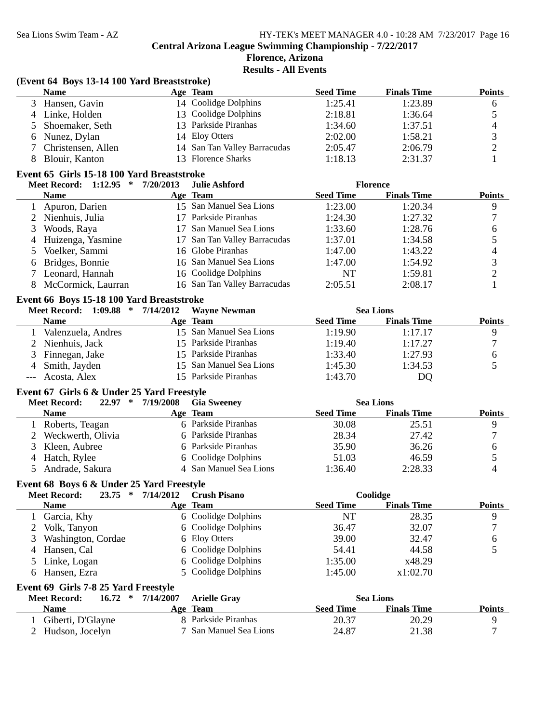#### **Florence, Arizona Results - All Events**

#### **(Event 64 Boys 13-14 100 Yard Breaststroke)**

| <b>Name</b>          | <b>Age Team</b>              | <b>Seed Time</b> | <b>Finals Time</b> | <b>Points</b> |
|----------------------|------------------------------|------------------|--------------------|---------------|
| 3 Hansen, Gavin      | 14 Coolidge Dolphins         | 1:25.41          | 1:23.89            | h             |
| 4 Linke, Holden      | 13 Coolidge Dolphins         | 2:18.81          | 1:36.64            |               |
| 5 Shoemaker, Seth    | 13 Parkside Piranhas         | 1:34.60          | 1:37.51            |               |
| 6 Nunez, Dylan       | 14 Eloy Otters               | 2:02.00          | 1:58.21            |               |
| ' Christensen, Allen | 14 San Tan Valley Barracudas | 2:05.47          | 2:06.79            |               |
| 8 Blouir, Kanton     | 13 Florence Sharks           | 1:18.13          | 2:31.37            |               |

#### **Event 65 Girls 15-18 100 Yard Breaststroke**

| <b>Meet Record: 1:12.95</b><br>∗ | 7/20/2013 | Julie Ashford                |                  | <b>Florence</b>    |               |
|----------------------------------|-----------|------------------------------|------------------|--------------------|---------------|
| <b>Name</b>                      |           | Age Team                     | <b>Seed Time</b> | <b>Finals Time</b> | <b>Points</b> |
| 1 Apuron, Darien                 |           | 15 San Manuel Sea Lions      | 1:23.00          | 1:20.34            |               |
| 2 Nienhuis, Julia                |           | Parkside Piranhas            | 1:24.30          | 1:27.32            |               |
| 3 Woods, Raya                    |           | San Manuel Sea Lions         | 1:33.60          | 1:28.76            | 6             |
| 4 Huizenga, Yasmine              |           | 17 San Tan Valley Barracudas | 1:37.01          | 1:34.58            |               |
| 5 Voelker, Sammi                 |           | 16 Globe Piranhas            | 1:47.00          | 1:43.22            | 4             |
| 6 Bridges, Bonnie                |           | 16 San Manuel Sea Lions      | 1:47.00          | 1:54.92            |               |
| 7 Leonard, Hannah                |           | 16 Coolidge Dolphins         | NT               | 1:59.81            |               |
| McCormick, Laurran               |           | 16 San Tan Valley Barracudas | 2:05.51          | 2:08.17            |               |

#### **Event 66 Boys 15-18 100 Yard Breaststroke**

| Meet Record: 1:09.88 * | $7/14/2012$ Wayne Newman |                  | <b>Sea Lions</b>   |               |
|------------------------|--------------------------|------------------|--------------------|---------------|
| <b>Name</b>            | Age Team                 | <b>Seed Time</b> | <b>Finals Time</b> | <b>Points</b> |
| Valenzuela, Andres     | 15 San Manuel Sea Lions  | 1:19.90          | 1:17.17            |               |
| 2 Nienhuis, Jack       | 15 Parkside Piranhas     | 1:19.40          | 1:17.27            |               |
| 3 Finnegan, Jake       | 15 Parkside Piranhas     | 1:33.40          | 1:27.93            |               |
| 4 Smith, Jayden        | 15 San Manuel Sea Lions  | 1:45.30          | 1:34.53            |               |
| --- Acosta, Alex       | 15 Parkside Piranhas     | 1:43.70          | DQ                 |               |

#### **Event 67 Girls 6 & Under 25 Yard Freestyle**

#### **Meet Record:** 22.97 \* 7/19/2008 Gia Sweeney Sea Lions

| www.necoru.<br>---- | 111/12000 | <b>UMPORT</b>          | .                |                    |               |
|---------------------|-----------|------------------------|------------------|--------------------|---------------|
| <b>Name</b>         |           | Age Team               | <b>Seed Time</b> | <b>Finals Time</b> | <b>Points</b> |
| Roberts, Teagan     |           | 6 Parkside Piranhas    | 30.08            | 25.51              |               |
| 2 Weckwerth, Olivia |           | 6 Parkside Piranhas    | 28.34            | 27.42              |               |
| 3 Kleen, Aubree     |           | 6 Parkside Piranhas    | 35.90            | 36.26              |               |
| 4 Hatch, Rylee      |           | 6 Coolidge Dolphins    | 51.03            | 46.59              |               |
| 5 Andrade, Sakura   |           | 4 San Manuel Sea Lions | 1:36.40          | 2:28.33            |               |

# **Event 68 Boys 6 & Under 25 Yard Freestyle**

| <b>Meet Record:</b>                  | 23.75<br>$\ast$ | 7/14/2012 | <b>Crush Pisano</b>  |                  | Coolidge           |               |
|--------------------------------------|-----------------|-----------|----------------------|------------------|--------------------|---------------|
| <b>Name</b>                          |                 |           | Age Team             | <b>Seed Time</b> | <b>Finals Time</b> | <b>Points</b> |
| 1 Garcia, Khy                        |                 |           | 6 Coolidge Dolphins  | NT               | 28.35              | 9             |
| Volk, Tanyon                         |                 |           | 6 Coolidge Dolphins  | 36.47            | 32.07              |               |
| Washington, Cordae                   |                 |           | 6 Eloy Otters        | 39.00            | 32.47              | 6             |
| 4 Hansen, Cal                        |                 |           | 6 Coolidge Dolphins  | 54.41            | 44.58              |               |
| 5 Linke, Logan                       |                 |           | 6 Coolidge Dolphins  | 1:35.00          | x48.29             |               |
| 6 Hansen, Ezra                       |                 |           | 5 Coolidge Dolphins  | 1:45.00          | x1:02.70           |               |
| Event 69 Girls 7-8 25 Yard Freestyle |                 |           |                      |                  |                    |               |
| <b>Meet Record:</b>                  | 16.72<br>$\ast$ | 7/14/2007 | <b>Arielle Grav</b>  |                  | <b>Sea Lions</b>   |               |
| <b>Name</b>                          |                 |           | Age Team             | <b>Seed Time</b> | <b>Finals Time</b> | <b>Points</b> |
| 1 Giberti, D'Glayne                  |                 |           | 8 Parkside Piranhas  | 20.37            | 20.29              | 9             |
| Hudson, Jocelyn                      |                 |           | San Manuel Sea Lions | 24.87            | 21.38              |               |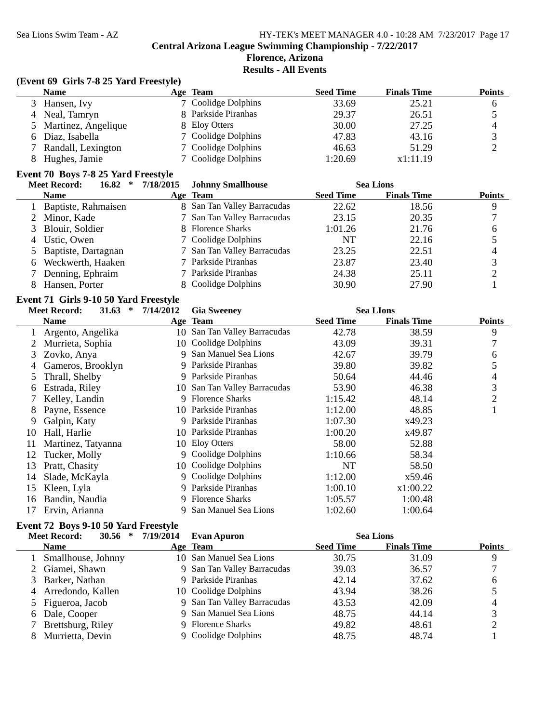# **Florence, Arizona**

**Results - All Events**

#### **(Event 69 Girls 7-8 25 Yard Freestyle)**

| <b>Name</b>           | <b>Age Team</b>     | <b>Seed Time</b> | <b>Finals Time</b> | <b>Points</b> |
|-----------------------|---------------------|------------------|--------------------|---------------|
| 3 Hansen, Ivy         | 7 Coolidge Dolphins | 33.69            | 25.21              |               |
| 4 Neal, Tamryn        | 8 Parkside Piranhas | 29.37            | 26.51              |               |
| 5 Martinez, Angelique | 8 Eloy Otters       | 30.00            | 27.25              | 4             |
| 6 Diaz, Isabella      | 7 Coolidge Dolphins | 47.83            | 43.16              |               |
| Randall, Lexington    | 7 Coolidge Dolphins | 46.63            | 51.29              |               |
| Hughes, Jamie         | 7 Coolidge Dolphins | 1:20.69          | x1:11.19           |               |

# **Event 70 Boys 7-8 25 Yard Freestyle**

| $16.82$ *<br><b>Meet Record:</b> | 7/18/2015 | <b>Johnny Smallhouse</b>    |                  | <b>Sea Lions</b>   |               |
|----------------------------------|-----------|-----------------------------|------------------|--------------------|---------------|
| <b>Name</b>                      |           | Age Team                    | <b>Seed Time</b> | <b>Finals Time</b> | <b>Points</b> |
| 1 Baptiste, Rahmaisen            |           | 8 San Tan Valley Barracudas | 22.62            | 18.56              |               |
| 2 Minor, Kade                    |           | 7 San Tan Valley Barracudas | 23.15            | 20.35              |               |
| 3 Blouir, Soldier                |           | 8 Florence Sharks           | 1:01.26          | 21.76              | h             |
| 4 Ustic, Owen                    |           | 7 Coolidge Dolphins         | NT               | 22.16              |               |
| 5 Baptiste, Dartagnan            |           | 7 San Tan Valley Barracudas | 23.25            | 22.51              |               |
| 6 Weckwerth, Haaken              |           | 7 Parkside Piranhas         | 23.87            | 23.40              |               |
| 7 Denning, Ephraim               |           | 7 Parkside Piranhas         | 24.38            | 25.11              |               |
| Hansen, Porter                   |           | 8 Coolidge Dolphins         | 30.90            | 27.90              |               |

#### **Event 71 Girls 9-10 50 Yard Freestyle**

|    | <b>Meet Record:</b><br>31.63<br>$\ast$ | 7/14/2012 | <b>Gia Sweeney</b>           |                  | <b>Sea LIons</b>   |               |
|----|----------------------------------------|-----------|------------------------------|------------------|--------------------|---------------|
|    | <b>Name</b>                            |           | Age Team                     | <b>Seed Time</b> | <b>Finals Time</b> | <b>Points</b> |
|    | Argento, Angelika                      |           | 10 San Tan Valley Barracudas | 42.78            | 38.59              | 9             |
|    | Murrieta, Sophia                       |           | 10 Coolidge Dolphins         | 43.09            | 39.31              | 7             |
| 3. | Zovko, Anya                            | 9         | San Manuel Sea Lions         | 42.67            | 39.79              | 6             |
| 4  | Gameros, Brooklyn                      |           | 9 Parkside Piranhas          | 39.80            | 39.82              | 5             |
| 5. | Thrall, Shelby                         | 9.        | Parkside Piranhas            | 50.64            | 44.46              | 4             |
| 6  | Estrada, Riley                         |           | 10 San Tan Valley Barracudas | 53.90            | 46.38              | 3             |
|    | Kelley, Landin                         | 9         | <b>Florence Sharks</b>       | 1:15.42          | 48.14              | 2             |
| 8  | Payne, Essence                         |           | 10 Parkside Piranhas         | 1:12.00          | 48.85              |               |
| 9  | Galpin, Katy                           | 9         | Parkside Piranhas            | 1:07.30          | x49.23             |               |
| 10 | Hall, Harlie                           |           | 10 Parkside Piranhas         | 1:00.20          | x49.87             |               |
| 11 | Martinez, Tatyanna                     |           | 10 Eloy Otters               | 58.00            | 52.88              |               |
| 12 | Tucker, Molly                          | 9.        | Coolidge Dolphins            | 1:10.66          | 58.34              |               |
| 13 | Pratt, Chasity                         |           | 10 Coolidge Dolphins         | NT               | 58.50              |               |
| 14 | Slade, McKayla                         | 9.        | Coolidge Dolphins            | 1:12.00          | x59.46             |               |
| 15 | Kleen, Lyla                            |           | 9 Parkside Piranhas          | 1:00.10          | x1:00.22           |               |
| 16 | Bandin, Naudia                         | 9         | <b>Florence Sharks</b>       | 1:05.57          | 1:00.48            |               |
|    | Ervin, Arianna                         | 9         | San Manuel Sea Lions         | 1:02.60          | 1:00.64            |               |

#### **Event 72 Boys 9-10 50 Yard Freestyle**

| <b>Meet Record:</b><br>30.56<br>$\ast$ | 7/19/2014 | Evan Apuron                 |                  | <b>Sea Lions</b>   |               |
|----------------------------------------|-----------|-----------------------------|------------------|--------------------|---------------|
| <b>Name</b>                            |           | Age Team                    | <b>Seed Time</b> | <b>Finals Time</b> | <b>Points</b> |
| 1 Smallhouse, Johnny                   |           | 10 San Manuel Sea Lions     | 30.75            | 31.09              |               |
| 2 Giamei, Shawn                        |           | 9 San Tan Valley Barracudas | 39.03            | 36.57              |               |
| 3 Barker, Nathan                       |           | 9 Parkside Piranhas         | 42.14            | 37.62              | 6             |
| 4 Arredondo, Kallen                    |           | 10 Coolidge Dolphins        | 43.94            | 38.26              |               |
| 5 Figueroa, Jacob                      |           | 9 San Tan Valley Barracudas | 43.53            | 42.09              | 4             |
| 6 Dale, Cooper                         |           | 9 San Manuel Sea Lions      | 48.75            | 44.14              |               |
| 7 Brettsburg, Riley                    |           | 9 Florence Sharks           | 49.82            | 48.61              |               |
| Murrietta, Devin                       |           | 9 Coolidge Dolphins         | 48.75            | 48.74              |               |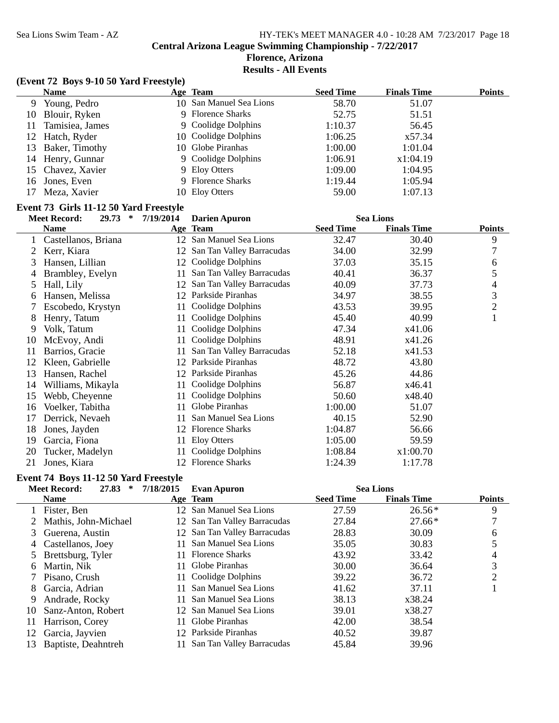# **Florence, Arizona**

# **Results - All Events**

#### **(Event 72 Boys 9-10 50 Yard Freestyle)**

|    | <b>Name</b>       | Age Team                | <b>Seed Time</b> | <b>Finals Time</b> | <b>Points</b> |
|----|-------------------|-------------------------|------------------|--------------------|---------------|
| 9  | Young, Pedro      | 10 San Manuel Sea Lions | 58.70            | 51.07              |               |
|    | 10 Blouir, Ryken  | 9 Florence Sharks       | 52.75            | 51.51              |               |
| 11 | Tamisiea, James   | 9 Coolidge Dolphins     | 1:10.37          | 56.45              |               |
|    | 12 Hatch, Ryder   | 10 Coolidge Dolphins    | 1:06.25          | x57.34             |               |
|    | 13 Baker, Timothy | 10 Globe Piranhas       | 1:00.00          | 1:01.04            |               |
|    | 14 Henry, Gunnar  | 9 Coolidge Dolphins     | 1:06.91          | x1:04.19           |               |
|    | 15 Chavez, Xavier | 9 Eloy Otters           | 1:09.00          | 1:04.95            |               |
| 16 | Jones, Even       | 9 Florence Sharks       | 1:19.44          | 1:05.94            |               |
|    | Meza, Xavier      | 10 Eloy Otters          | 59.00            | 1:07.13            |               |

#### **Event 73 Girls 11-12 50 Yard Freestyle**

|    | <b>Meet Record:</b><br>$\ast$<br>29.73 | 7/19/2014 | <b>Darien Apuron</b>         |                  | <b>Sea Lions</b>   |                |
|----|----------------------------------------|-----------|------------------------------|------------------|--------------------|----------------|
|    | <b>Name</b>                            |           | Age Team                     | <b>Seed Time</b> | <b>Finals Time</b> | <b>Points</b>  |
|    | Castellanos, Briana                    |           | 12 San Manuel Sea Lions      | 32.47            | 30.40              | 9              |
| 2  | Kerr, Kiara                            |           | 12 San Tan Valley Barracudas | 34.00            | 32.99              | 7              |
| 3  | Hansen, Lillian                        |           | 12 Coolidge Dolphins         | 37.03            | 35.15              | 6              |
| 4  | Brambley, Evelyn                       | 11-       | San Tan Valley Barracudas    | 40.41            | 36.37              | 5              |
| 5  | Hall, Lily                             |           | 12 San Tan Valley Barracudas | 40.09            | 37.73              | 4              |
| 6  | Hansen, Melissa                        | 12        | Parkside Piranhas            | 34.97            | 38.55              | 3              |
|    | Escobedo, Krystyn                      | 11-       | Coolidge Dolphins            | 43.53            | 39.95              | $\overline{2}$ |
| 8  | Henry, Tatum                           | 11        | Coolidge Dolphins            | 45.40            | 40.99              | 1              |
| 9  | Volk, Tatum                            | 11        | Coolidge Dolphins            | 47.34            | x41.06             |                |
| 10 | McEvoy, Andi                           | 11        | Coolidge Dolphins            | 48.91            | x41.26             |                |
| 11 | Barrios, Gracie                        | 11        | San Tan Valley Barracudas    | 52.18            | x41.53             |                |
| 12 | Kleen, Gabrielle                       | 12        | Parkside Piranhas            | 48.72            | 43.80              |                |
| 13 | Hansen, Rachel                         | 12        | Parkside Piranhas            | 45.26            | 44.86              |                |
| 14 | Williams, Mikayla                      | 11        | Coolidge Dolphins            | 56.87            | x46.41             |                |
| 15 | Webb, Cheyenne                         | 11-       | Coolidge Dolphins            | 50.60            | x48.40             |                |
| 16 | Voelker, Tabitha                       | 11.       | Globe Piranhas               | 1:00.00          | 51.07              |                |
| 17 | Derrick, Nevaeh                        | 11        | San Manuel Sea Lions         | 40.15            | 52.90              |                |
| 18 | Jones, Jayden                          | 12        | <b>Florence Sharks</b>       | 1:04.87          | 56.66              |                |
| 19 | Garcia, Fiona                          | 11        | Eloy Otters                  | 1:05.00          | 59.59              |                |
| 20 | Tucker, Madelyn                        |           | Coolidge Dolphins            | 1:08.84          | x1:00.70           |                |
| 21 | Jones, Kiara                           |           | 12 Florence Sharks           | 1:24.39          | 1:17.78            |                |

# **Event 74 Boys 11-12 50 Yard Freestyle**

| 27.83<br>∗           | 7/18/2015                                                         | <b>Evan Apuron</b>        |                                                                                                                                                                                                                 |                    |                  |
|----------------------|-------------------------------------------------------------------|---------------------------|-----------------------------------------------------------------------------------------------------------------------------------------------------------------------------------------------------------------|--------------------|------------------|
| <b>Name</b>          |                                                                   |                           | <b>Seed Time</b>                                                                                                                                                                                                | <b>Finals Time</b> | <b>Points</b>    |
| Fister, Ben          |                                                                   |                           | 27.59                                                                                                                                                                                                           | $26.56*$           | 9                |
| Mathis, John-Michael |                                                                   |                           | 27.84                                                                                                                                                                                                           | $27.66*$           |                  |
| Guerena, Austin      |                                                                   |                           | 28.83                                                                                                                                                                                                           | 30.09              | 6                |
|                      |                                                                   | San Manuel Sea Lions      | 35.05                                                                                                                                                                                                           | 30.83              |                  |
|                      |                                                                   |                           | 43.92                                                                                                                                                                                                           | 33.42              | 4                |
| Martin, Nik          |                                                                   | Globe Piranhas            | 30.00                                                                                                                                                                                                           | 36.64              | 3                |
| Pisano, Crush        |                                                                   |                           | 39.22                                                                                                                                                                                                           | 36.72              | $\overline{2}$   |
| Garcia, Adrian       |                                                                   | San Manuel Sea Lions      | 41.62                                                                                                                                                                                                           | 37.11              |                  |
| Andrade, Rocky       | 11                                                                | San Manuel Sea Lions      | 38.13                                                                                                                                                                                                           | x38.24             |                  |
| Sanz-Anton, Robert   |                                                                   |                           | 39.01                                                                                                                                                                                                           | x38.27             |                  |
| Harrison, Corey      | 11.                                                               | Globe Piranhas            | 42.00                                                                                                                                                                                                           | 38.54              |                  |
| Garcia, Jayvien      |                                                                   |                           | 40.52                                                                                                                                                                                                           | 39.87              |                  |
| Baptiste, Deahntreh  |                                                                   | San Tan Valley Barracudas | 45.84                                                                                                                                                                                                           | 39.96              |                  |
| 3<br>12              | <b>Meet Record:</b><br>4 Castellanos, Joey<br>5 Brettsburg, Tyler |                           | Age Team<br>12 San Manuel Sea Lions<br>12 San Tan Valley Barracudas<br>12 San Tan Valley Barracudas<br><b>Florence Sharks</b><br>11.<br>11 Coolidge Dolphins<br>12 San Manuel Sea Lions<br>12 Parkside Piranhas |                    | <b>Sea Lions</b> |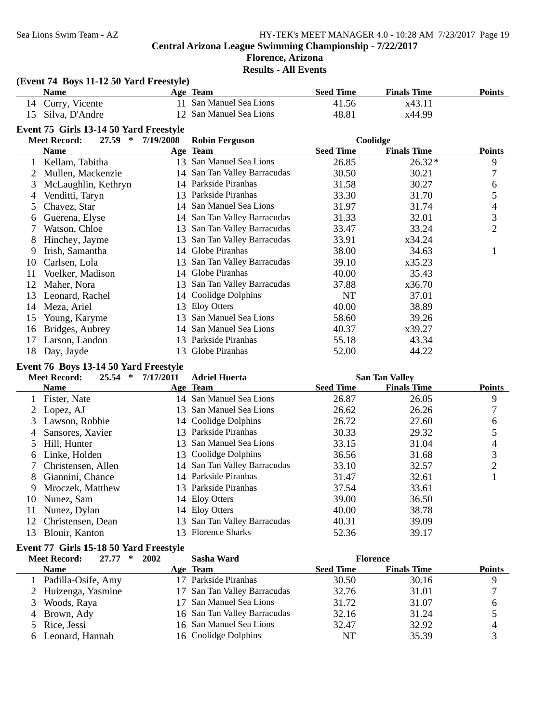#### **Florence, Arizona Results - All Events**

# **(Event 74 Boys 11-12 50 Yard Freestyle)**

|    | Name                                   |           | Age Team                     | <b>Seed Time</b> | <b>Finals Time</b> | <b>Points</b>  |
|----|----------------------------------------|-----------|------------------------------|------------------|--------------------|----------------|
| 14 | Curry, Vicente                         | 11        | San Manuel Sea Lions         | 41.56            | x43.11             |                |
| 15 | Silva, D'Andre                         | 12        | San Manuel Sea Lions         | 48.81            | x44.99             |                |
|    | Event 75 Girls 13-14 50 Yard Freestyle |           |                              |                  |                    |                |
|    | <b>Meet Record:</b><br>27.59<br>$\ast$ | 7/19/2008 | <b>Robin Ferguson</b>        |                  | Coolidge           |                |
|    | <b>Name</b>                            |           | Age Team                     | <b>Seed Time</b> | <b>Finals Time</b> | <b>Points</b>  |
|    | Kellam, Tabitha                        |           | 13 San Manuel Sea Lions      | 26.85            | $26.32*$           | 9              |
|    | Mullen, Mackenzie                      |           | 14 San Tan Valley Barracudas | 30.50            | 30.21              | 7              |
| 3  | McLaughlin, Kethryn                    | 14        | Parkside Piranhas            | 31.58            | 30.27              | 6              |
| 4  | Venditti, Taryn                        | 13        | Parkside Piranhas            | 33.30            | 31.70              | 5              |
| 5  | Chavez, Star                           | 14        | San Manuel Sea Lions         | 31.97            | 31.74              | 4              |
| 6  | Guerena, Elyse                         | 14        | San Tan Valley Barracudas    | 31.33            | 32.01              | 3              |
|    | Watson, Chloe                          | 13        | San Tan Valley Barracudas    | 33.47            | 33.24              | $\overline{2}$ |
| 8  | Hinchey, Jayme                         | 13        | San Tan Valley Barracudas    | 33.91            | x34.24             |                |
| 9  | Irish, Samantha                        | 14        | Globe Piranhas               | 38.00            | 34.63              |                |
| 10 | Carlsen, Lola                          | 13        | San Tan Valley Barracudas    | 39.10            | x35.23             |                |
| 11 | Voelker, Madison                       | 14        | Globe Piranhas               | 40.00            | 35.43              |                |
| 12 | Maher, Nora                            | 13.       | San Tan Valley Barracudas    | 37.88            | x36.70             |                |
| 13 | Leonard, Rachel                        | 14        | Coolidge Dolphins            | NT               | 37.01              |                |
| 14 | Meza, Ariel                            | 13        | <b>Eloy Otters</b>           | 40.00            | 38.89              |                |
| 15 | Young, Karyme                          | 13        | San Manuel Sea Lions         | 58.60            | 39.26              |                |
| 16 | Bridges, Aubrey                        | 14        | San Manuel Sea Lions         | 40.37            | x39.27             |                |
| 17 | Larson, Landon                         | 13        | Parkside Piranhas            | 55.18            | 43.34              |                |
| 18 | Day, Jayde                             | 13        | Globe Piranhas               | 52.00            | 44.22              |                |

#### **Event 76 Boys 13-14 50 Yard Freestyle**

|     | 25.54<br><b>Meet Record:</b><br>∗ | 7/17/2011 | <b>Adriel Huerta</b>         |                  | <b>San Tan Valley</b> |               |
|-----|-----------------------------------|-----------|------------------------------|------------------|-----------------------|---------------|
|     | <b>Name</b>                       |           | Age Team                     | <b>Seed Time</b> | <b>Finals Time</b>    | <b>Points</b> |
|     | Fister, Nate                      |           | 14 San Manuel Sea Lions      | 26.87            | 26.05                 | 9             |
|     | 2 Lopez, AJ                       |           | 13 San Manuel Sea Lions      | 26.62            | 26.26                 |               |
| 3   | Lawson, Robbie                    |           | 14 Coolidge Dolphins         | 26.72            | 27.60                 | 6             |
| 4   | Sansores, Xavier                  |           | 13 Parkside Piranhas         | 30.33            | 29.32                 | 5             |
| 5.  | Hill, Hunter                      |           | 13 San Manuel Sea Lions      | 33.15            | 31.04                 | 4             |
| 6   | Linke, Holden                     |           | 13 Coolidge Dolphins         | 36.56            | 31.68                 | 3             |
|     | Christensen, Allen                |           | 14 San Tan Valley Barracudas | 33.10            | 32.57                 | 2             |
| 8   | Giannini, Chance                  |           | 14 Parkside Piranhas         | 31.47            | 32.61                 |               |
| 9   | Mroczek, Matthew                  |           | 13 Parkside Piranhas         | 37.54            | 33.61                 |               |
| 10  | Nunez, Sam                        |           | 14 Eloy Otters               | 39.00            | 36.50                 |               |
| 11  | Nunez, Dylan                      |           | 14 Eloy Otters               | 40.00            | 38.78                 |               |
| 12  | Christensen, Dean                 |           | 13 San Tan Valley Barracudas | 40.31            | 39.09                 |               |
| 13. | Blouir, Kanton                    |           | 13 Florence Sharks           | 52.36            | 39.17                 |               |

# **Event 77 Girls 15-18 50 Yard Freestyle**

| <b>Meet Record:</b><br>27.77<br>* | 2002 | Sasha Ward                   |                  | <b>Florence</b>    |               |
|-----------------------------------|------|------------------------------|------------------|--------------------|---------------|
| <b>Name</b>                       |      | Age Team                     | <b>Seed Time</b> | <b>Finals Time</b> | <b>Points</b> |
| 1 Padilla-Osife, Amy              |      | 17 Parkside Piranhas         | 30.50            | 30.16              | Q             |
| 2 Huizenga, Yasmine               |      | 17 San Tan Valley Barracudas | 32.76            | 31.01              |               |
| 3 Woods, Raya                     |      | 17 San Manuel Sea Lions      | 31.72            | 31.07              | h             |
| 4 Brown, Ady                      |      | 16 San Tan Valley Barracudas | 32.16            | 31.24              |               |
| 5 Rice, Jessi                     |      | 16 San Manuel Sea Lions      | 32.47            | 32.92              |               |
| 6 Leonard, Hannah                 |      | 16 Coolidge Dolphins         | NT               | 35.39              |               |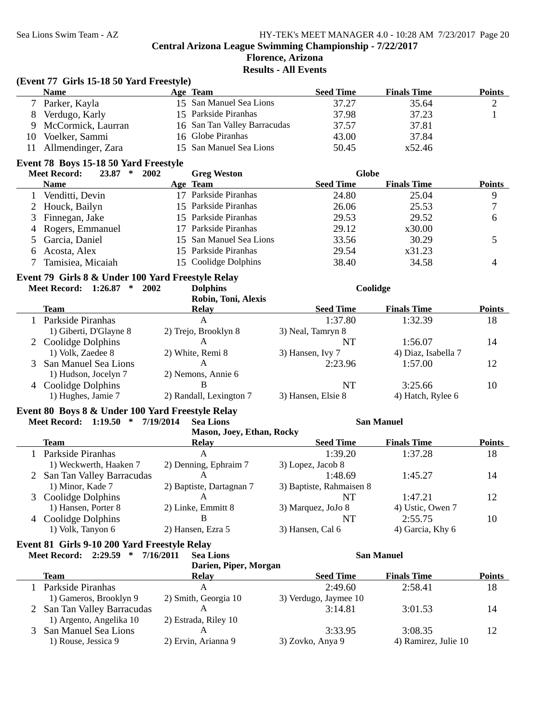# **Florence, Arizona**

**Results - All Events**

|                | (Event 77 Girls 15-18 50 Yard Freestyle)          |      |                              |                          |                     |                |
|----------------|---------------------------------------------------|------|------------------------------|--------------------------|---------------------|----------------|
|                | <b>Name</b>                                       |      | Age Team                     | <b>Seed Time</b>         | <b>Finals Time</b>  | <b>Points</b>  |
|                | 7 Parker, Kayla                                   |      | 15 San Manuel Sea Lions      | 37.27                    | 35.64               | $\overline{c}$ |
| 8              | Verdugo, Karly                                    |      | 15 Parkside Piranhas         | 37.98                    | 37.23               | $\mathbf{1}$   |
| 9              | McCormick, Laurran                                |      | 16 San Tan Valley Barracudas | 37.57                    | 37.81               |                |
| 10             | Voelker, Sammi                                    |      | 16 Globe Piranhas            | 43.00                    | 37.84               |                |
| 11             | Allmendinger, Zara                                |      | 15 San Manuel Sea Lions      | 50.45                    | x52.46              |                |
|                | Event 78 Boys 15-18 50 Yard Freestyle             |      |                              |                          |                     |                |
|                | <b>Meet Record:</b><br>23.87<br>$\ast$            | 2002 | <b>Greg Weston</b>           | <b>Globe</b>             |                     |                |
|                | <b>Name</b>                                       |      | Age Team                     | <b>Seed Time</b>         | <b>Finals Time</b>  | <b>Points</b>  |
| 1              | Venditti, Devin                                   |      | 17 Parkside Piranhas         | 24.80                    | 25.04               | $\mathbf{9}$   |
|                | 2 Houck, Bailyn                                   |      | 15 Parkside Piranhas         | 26.06                    | 25.53               | $\tau$         |
| 3              | Finnegan, Jake                                    |      | 15 Parkside Piranhas         | 29.53                    | 29.52               | 6              |
| $\overline{4}$ | Rogers, Emmanuel                                  |      | 17 Parkside Piranhas         | 29.12                    | x30.00              |                |
| 5              | Garcia, Daniel                                    |      | 15 San Manuel Sea Lions      | 33.56                    | 30.29               | 5              |
| 6              | Acosta, Alex                                      |      | 15 Parkside Piranhas         | 29.54                    | x31.23              |                |
| 7              | Tamisiea, Micaiah                                 |      | 15 Coolidge Dolphins         | 38.40                    | 34.58               | $\overline{4}$ |
|                | Event 79 Girls 8 & Under 100 Yard Freestyle Relay |      |                              |                          |                     |                |
|                | Meet Record: 1:26.87 * 2002                       |      | <b>Dolphins</b>              |                          | Coolidge            |                |
|                |                                                   |      | Robin, Toni, Alexis          |                          |                     |                |
|                | <b>Team</b>                                       |      | <b>Relay</b>                 | <b>Seed Time</b>         | <b>Finals Time</b>  | <b>Points</b>  |
|                | 1 Parkside Piranhas                               |      | $\mathbf{A}$                 | 1:37.80                  | 1:32.39             | 18             |
|                | 1) Giberti, D'Glayne 8                            |      | 2) Trejo, Brooklyn 8         | 3) Neal, Tamryn 8        |                     |                |
|                | 2 Coolidge Dolphins                               |      | A                            | <b>NT</b>                | 1:56.07             | 14             |
|                | 1) Volk, Zaedee 8                                 |      | 2) White, Remi 8             | 3) Hansen, Ivy 7         | 4) Diaz, Isabella 7 |                |
|                | 3 San Manuel Sea Lions                            |      | A                            | 2:23.96                  | 1:57.00             | 12             |
|                | 1) Hudson, Jocelyn 7                              |      | 2) Nemons, Annie 6           |                          |                     |                |
|                | 4 Coolidge Dolphins                               |      | B                            | <b>NT</b>                | 3:25.66             | 10             |
|                | 1) Hughes, Jamie 7                                |      | 2) Randall, Lexington 7      | 3) Hansen, Elsie 8       | 4) Hatch, Rylee 6   |                |
|                | Event 80 Boys 8 & Under 100 Yard Freestyle Relay  |      |                              |                          |                     |                |
|                | Meet Record: 1:19.50 * 7/19/2014                  |      | <b>Sea Lions</b>             |                          | <b>San Manuel</b>   |                |
|                |                                                   |      | Mason, Joey, Ethan, Rocky    |                          |                     |                |
|                | Team                                              |      | <b>Relay</b>                 | <b>Seed Time</b>         | <b>Finals Time</b>  | <b>Points</b>  |
|                | 1 Parkside Piranhas                               |      | $\mathsf{A}$                 | 1:39.20                  | 1:37.28             | 18             |
|                | 1) Weckwerth, Haaken 7                            |      | 2) Denning, Ephraim 7        | 3) Lopez, Jacob 8        |                     |                |
|                | 2 San Tan Valley Barracudas                       |      | A                            | 1:48.69                  | 1:45.27             | 14             |
|                | 1) Minor, Kade 7                                  |      | 2) Baptiste, Dartagnan 7     | 3) Baptiste, Rahmaisen 8 |                     |                |
|                | 3 Coolidge Dolphins                               |      | A                            | <b>NT</b>                | 1:47.21             | 12             |
|                | 1) Hansen, Porter 8                               |      | 2) Linke, Emmitt 8           | 3) Marquez, JoJo 8       | 4) Ustic, Owen 7    |                |
|                | 4 Coolidge Dolphins                               |      | B                            | <b>NT</b>                | 2:55.75             | 10             |
|                | 1) Volk, Tanyon 6                                 |      | 2) Hansen, Ezra 5            | 3) Hansen, Cal 6         | 4) Garcia, Khy 6    |                |
|                | Event 81 Girls 9-10 200 Yard Freestyle Relay      |      |                              |                          |                     |                |

#### **Meet Record: 2:29.59 \* 7/16/2011 San Manuel Sea Lions**

**Darien, Piper, Morgan Team Relay Relay Seed Time Finals Time Points** 1 Parkside Piranhas A<br>
18 2:49.60 2:58.41 18<br>
18 2:49.60 2:58.41 18 1) Gameros, Brooklyn 9 2) Smith, Georgia 10 3) Verdugo, Jaymee 10 2 San Tan Valley Barracudas A 3:14.81 3:01.53 14 1) Argento, Angelika 10 2) Estrada, Riley 10 3 San Manuel Sea Lions A 3:33.95 3:08.35 12 1) Rouse, Jessica 9 2) Ervin, Arianna 9 3) Zovko, Anya 9 4) Ramirez, Julie 10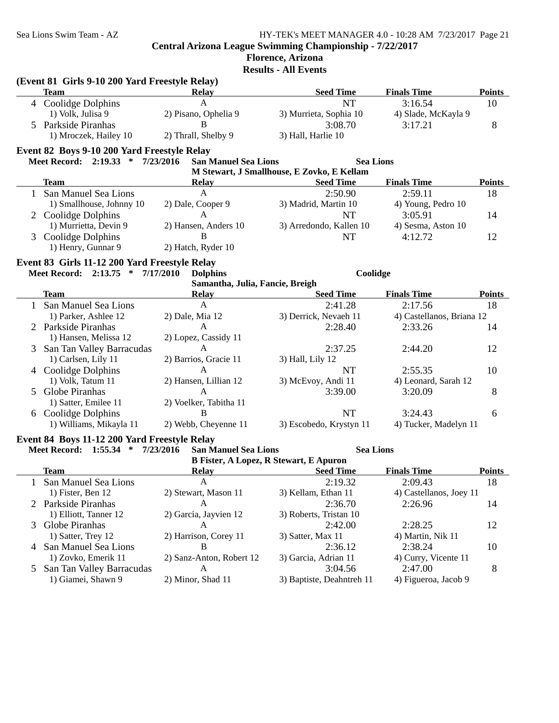|  | <b>Florence, Arizona</b> |  |  |
|--|--------------------------|--|--|
|  |                          |  |  |

**Results - All Events**

| (Event 81 Girls 9-10 200 Yard Freestyle Relay) |                       |                      |                        |                     |               |  |
|------------------------------------------------|-----------------------|----------------------|------------------------|---------------------|---------------|--|
|                                                | Team                  | <b>Relay</b>         | <b>Seed Time</b>       | <b>Finals Time</b>  | <b>Points</b> |  |
|                                                | 4 Coolidge Dolphins   |                      | NT                     | 3:16.54             | 10            |  |
|                                                | 1) Volk, Julisa 9     | 2) Pisano, Ophelia 9 | 3) Murrieta, Sophia 10 | 4) Slade, McKayla 9 |               |  |
|                                                | 5 Parkside Piranhas   |                      | 3:08.70                | 3:17.21             |               |  |
|                                                | 1) Mroczek, Hailey 10 | 2) Thrall, Shelby 9  | 3) Hall, Harlie 10     |                     |               |  |
|                                                |                       |                      |                        |                     |               |  |

#### **Event 82 Boys 9-10 200 Yard Freestyle Relay**

**Meet Record: 2:19.33 \* 7/23/2016 Sea Lions San Manuel Sea Lions**

| M Stewart, J Smallhouse, E Zovko, E Kellam |                          |                      |                         |                    |               |
|--------------------------------------------|--------------------------|----------------------|-------------------------|--------------------|---------------|
|                                            | Team                     | Relay                | <b>Seed Time</b>        | <b>Finals Time</b> | <b>Points</b> |
|                                            | San Manuel Sea Lions     | А                    | 2:50.90                 | 2:59.11            | 18            |
|                                            | 1) Smallhouse, Johnny 10 | 2) Dale, Cooper 9    | 3) Madrid, Martin 10    | 4) Young, Pedro 10 |               |
|                                            | 2 Coolidge Dolphins      |                      | NT                      | 3:05.91            | 14            |
|                                            | 1) Murrietta, Devin 9    | 2) Hansen, Anders 10 | 3) Arredondo, Kallen 10 | 4) Sesma, Aston 10 |               |
|                                            | 3 Coolidge Dolphins      | в                    | NT                      | 4:12.72            | 12            |
|                                            | 1) Henry, Gunnar 9       | 2) Hatch, Ryder 10   |                         |                    |               |

### **Event 83 Girls 11-12 200 Yard Freestyle Relay**

**Meet Record: 2:13.75 \* 7/17/2010 Coolidge Dolphins**

| Samantha, Julia, Fancie, Breigh |                        |                         |                           |               |  |
|---------------------------------|------------------------|-------------------------|---------------------------|---------------|--|
| Team                            | <b>Relay</b>           | <b>Seed Time</b>        | <b>Finals Time</b>        | <b>Points</b> |  |
| San Manuel Sea Lions            | A                      | 2:41.28                 | 2:17.56                   | 18            |  |
| 1) Parker, Ashlee 12            | $2)$ Dale, Mia 12      | 3) Derrick, Nevaeh 11   | 4) Castellanos, Briana 12 |               |  |
| 2 Parkside Piranhas             | A                      | 2:28.40                 | 2:33.26                   | 14            |  |
| 1) Hansen, Melissa 12           | 2) Lopez, Cassidy 11   |                         |                           |               |  |
| 3 San Tan Valley Barracudas     | A                      | 2:37.25                 | 2:44.20                   | 12            |  |
| 1) Carlsen, Lily 11             | 2) Barrios, Gracie 11  | 3) Hall, Lily 12        |                           |               |  |
| 4 Coolidge Dolphins             | A                      | NT                      | 2:55.35                   | 10            |  |
| 1) Volk, Tatum 11               | 2) Hansen, Lillian 12  | 3) McEvoy, Andi 11      | 4) Leonard, Sarah 12      |               |  |
| 5 Globe Piranhas                | A                      | 3:39.00                 | 3:20.09                   | 8             |  |
| 1) Satter, Emilee 11            | 2) Voelker, Tabitha 11 |                         |                           |               |  |
| 6 Coolidge Dolphins             | B                      | NT                      | 3:24.43                   | 6             |  |
| 1) Williams, Mikayla 11         | 2) Webb, Chevenne 11   | 3) Escobedo, Krystyn 11 | 4) Tucker, Madelyn 11     |               |  |

#### **Event 84 Boys 11-12 200 Yard Freestyle Relay**

**Meet Record: 1:55.34 \* 7/23/2016 Sea Lions San Manuel Sea Lions**

**B Fister, A Lopez, R Stewart, E Apuron**

|                             |                          | D FISICI, A LUPCZ, IN SIGWALI, L'APULUII |                         |               |
|-----------------------------|--------------------------|------------------------------------------|-------------------------|---------------|
| <b>Team</b>                 | <b>Relay</b>             | <b>Seed Time</b>                         | <b>Finals Time</b>      | <b>Points</b> |
| 1 San Manuel Sea Lions      | A                        | 2:19.32                                  | 2:09.43                 | 18            |
| 1) Fister, Ben 12           | 2) Stewart, Mason 11     | 3) Kellam, Ethan 11                      | 4) Castellanos, Joey 11 |               |
| 2 Parkside Piranhas         | Α                        | 2:36.70                                  | 2:26.96                 | 14            |
| 1) Elliott, Tanner 12       | 2) Garcia, Jayvien 12    | 3) Roberts, Tristan 10                   |                         |               |
| 3 Globe Piranhas            | А                        | 2:42.00                                  | 2:28.25                 | 12            |
| 1) Satter, Trey 12          | 2) Harrison, Corey 11    | 3) Satter, Max 11                        | 4) Martin, Nik 11       |               |
| 4 San Manuel Sea Lions      | В                        | 2:36.12                                  | 2:38.24                 | 10            |
| 1) Zovko, Emerik 11         | 2) Sanz-Anton, Robert 12 | 3) Garcia, Adrian 11                     | 4) Curry, Vicente 11    |               |
| 5 San Tan Valley Barracudas | А                        | 3:04.56                                  | 2:47.00                 | 8             |
| 1) Giamei, Shawn 9          | 2) Minor, Shad 11        | 3) Baptiste, Deahntreh 11                | 4) Figueroa, Jacob 9    |               |
|                             |                          |                                          |                         |               |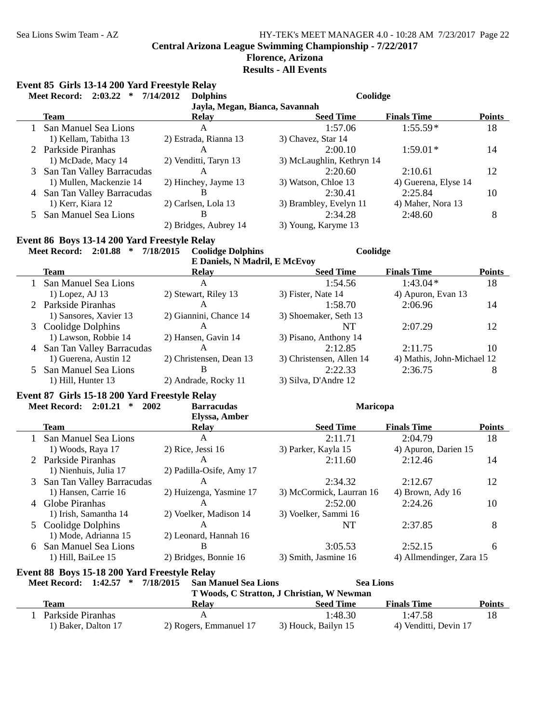# **Florence, Arizona**

**Results - All Events**

#### **Event 85 Girls 13-14 200 Yard Freestyle Relay**

| 7/14/2012<br>2:03.22<br><b>Meet Record:</b><br>∗ |                                              | <b>Dolphins</b>               | Coolidge                  |                      |               |  |  |
|--------------------------------------------------|----------------------------------------------|-------------------------------|---------------------------|----------------------|---------------|--|--|
| Jayla, Megan, Bianca, Savannah                   |                                              |                               |                           |                      |               |  |  |
|                                                  | <b>Team</b>                                  | <b>Relay</b>                  | <b>Seed Time</b>          | <b>Finals Time</b>   | <b>Points</b> |  |  |
|                                                  | San Manuel Sea Lions                         | A                             | 1:57.06                   | $1:55.59*$           | 18            |  |  |
|                                                  | 1) Kellam, Tabitha 13                        | 2) Estrada, Rianna 13         | 3) Chavez, Star 14        |                      |               |  |  |
|                                                  | 2 Parkside Piranhas                          | A                             | 2:00.10                   | $1:59.01*$           | 14            |  |  |
|                                                  | 1) McDade, Macy 14                           | 2) Venditti, Taryn 13         | 3) McLaughlin, Kethryn 14 |                      |               |  |  |
| 3                                                | San Tan Valley Barracudas                    | A                             | 2:20.60                   | 2:10.61              | 12            |  |  |
|                                                  | 1) Mullen, Mackenzie 14                      | 2) Hinchey, Jayme 13          | 3) Watson, Chloe 13       | 4) Guerena, Elyse 14 |               |  |  |
| 4                                                | San Tan Valley Barracudas                    | B                             | 2:30.41                   | 2:25.84              | 10            |  |  |
|                                                  | 1) Kerr, Kiara 12                            | 2) Carlsen, Lola 13           | 3) Brambley, Evelyn 11    | 4) Maher, Nora 13    |               |  |  |
| 5.                                               | San Manuel Sea Lions                         | B                             | 2:34.28                   | 2:48.60              | 8             |  |  |
|                                                  |                                              | 2) Bridges, Aubrey 14         | 3) Young, Karyme 13       |                      |               |  |  |
|                                                  | Event 86 Boys 13-14 200 Yard Freestyle Relay |                               |                           |                      |               |  |  |
| 7/18/2015<br><b>Meet Record: 2:01.88</b><br>∗    |                                              | <b>Coolidge Dolphins</b>      | Coolidge                  |                      |               |  |  |
|                                                  |                                              | E Daniels, N Madril, E McEvoy |                           |                      |               |  |  |
|                                                  | Taam                                         | $\mathbf{p}_{\mathbf{a}}$ lav | Sood Time                 | Finale Time          | <b>Dointe</b> |  |  |

| Team                        | <b>Relay</b>            | <b>Seed Time</b>         | <b>Finals Time</b>         | <b>Points</b> |
|-----------------------------|-------------------------|--------------------------|----------------------------|---------------|
| San Manuel Sea Lions        | A                       | 1:54.56                  | $1:43.04*$                 | 18            |
| $1)$ Lopez, AJ 13           | 2) Stewart, Riley 13    | 3) Fister, Nate 14       | 4) Apuron, Evan 13         |               |
| 2 Parkside Piranhas         | А                       | 1:58.70                  | 2:06.96                    | 14            |
| 1) Sansores, Xavier 13      | 2) Giannini, Chance 14  | 3) Shoemaker, Seth 13    |                            |               |
| 3 Coolidge Dolphins         |                         | NT                       | 2:07.29                    | 12            |
| 1) Lawson, Robbie 14        | 2) Hansen, Gavin 14     | 3) Pisano, Anthony 14    |                            |               |
| 4 San Tan Valley Barracudas | А                       | 2:12.85                  | 2:11.75                    | 10            |
| 1) Guerena, Austin 12       | 2) Christensen, Dean 13 | 3) Christensen, Allen 14 | 4) Mathis, John-Michael 12 |               |
| 5 San Manuel Sea Lions      | в                       | 2:22.33                  | 2:36.75                    | 8             |
| 1) Hill, Hunter 13          | 2) Andrade, Rocky 11    | 3) Silva, D'Andre 12     |                            |               |

#### **Event 87 Girls 15-18 200 Yard Freestyle Relay**

#### **Meet Record: 2:01.21 \* 2002 Maricopa Barracudas Elyssa, Amber Team Relay Relay Seed Time Finals Time Points** 1 San Manuel Sea Lions A<br>
1) Woods, Raya 17 2) Rice, Jessi 16 3) Parker, Kayla 15 4) Apuron, Darien 15 4) Apuron, Darien 15 2 Parkside Piranhas A 2:11.60 2:12.46 14 1) Nienhuis, Julia 17 2) Padilla-Osife, Amy 17 3 San Tan Valley Barracudas A<br>
2:12.67 12<br>
12 A 2:34.32 2:12.67 12<br>
12 A 2:34.32 2:12.67 12 3) McCormick, Laurran 16 4) Brown, Ady 16 4 Globe Piranhas A 2:52.00 2:24.26 10 1) Irish, Samantha 14 2) Voelker, Madison 14 3) Voelker, Sammi 16 5 Coolidge Dolphins A NT 2:37.85 8 1) Mode, Adrianna 15 2) Leonard, Hannah 16 6 San Manuel Sea Lions B<br>
2) Bridges, Bonnie 16 3) Smith, Jasmine 16 4) Allmendinger, Zara 15 4) Allmendinger, Zara 15

#### **Event 88 Boys 15-18 200 Yard Freestyle Relay**

|  |  | Meet Record: $1:42.57$ * $7/18/2015$ San Manuel Sea Lions | <b>Sea Lions</b> |
|--|--|-----------------------------------------------------------|------------------|
|  |  |                                                           |                  |

|                     | T Woods, C Stratton, J Christian, W Newman |                     |                       |               |  |
|---------------------|--------------------------------------------|---------------------|-----------------------|---------------|--|
| Team                | Relav                                      | <b>Seed Time</b>    | <b>Finals Time</b>    | <b>Points</b> |  |
| Parkside Piranhas   |                                            | 1:48.30             | 1:47.58               |               |  |
| 1) Baker, Dalton 17 | 2) Rogers, Emmanuel 17                     | 3) Houck, Bailyn 15 | 4) Venditti, Devin 17 |               |  |